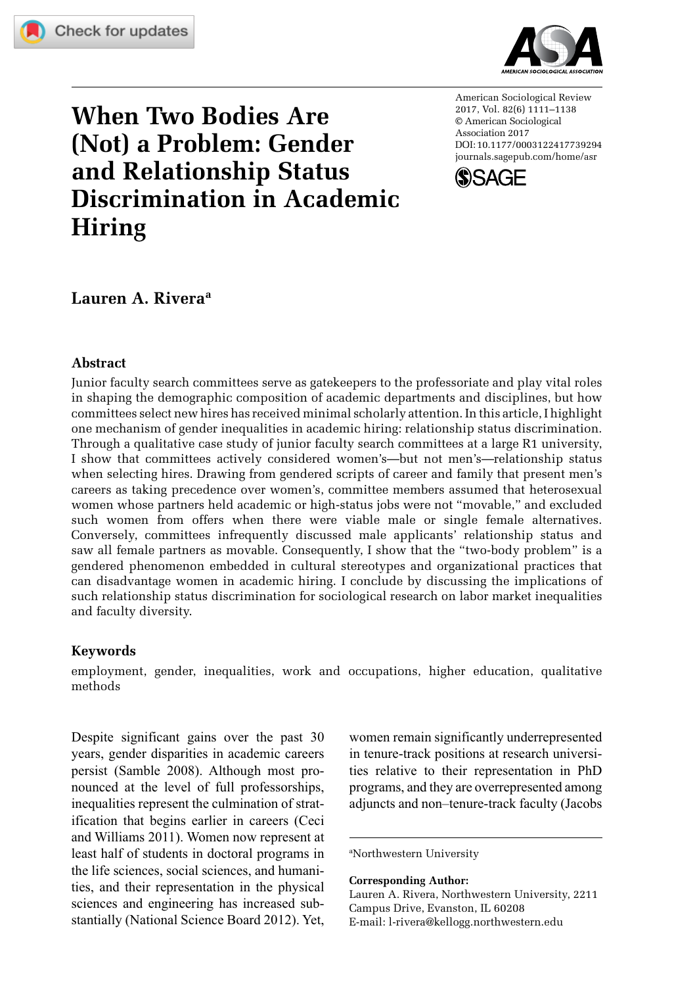

DOI: 10.1177/0003122417739294 American Sociological Review 2017, Vol. 82(6) 1111–1138 © American Sociological Association 2017 [journals.sagepub.com/home/asr](https://journals.sagepub.com/home/asr)



# **When Two Bodies Are (Not) a Problem: Gender and Relationship Status Discrimination in Academic Hiring**

# **Lauren A. Riveraa**

#### **Abstract**

Junior faculty search committees serve as gatekeepers to the professoriate and play vital roles in shaping the demographic composition of academic departments and disciplines, but how committees select new hires has received minimal scholarly attention. In this article, I highlight one mechanism of gender inequalities in academic hiring: relationship status discrimination. Through a qualitative case study of junior faculty search committees at a large R1 university, I show that committees actively considered women's—but not men's—relationship status when selecting hires. Drawing from gendered scripts of career and family that present men's careers as taking precedence over women's, committee members assumed that heterosexual women whose partners held academic or high-status jobs were not "movable," and excluded such women from offers when there were viable male or single female alternatives. Conversely, committees infrequently discussed male applicants' relationship status and saw all female partners as movable. Consequently, I show that the "two-body problem" is a gendered phenomenon embedded in cultural stereotypes and organizational practices that can disadvantage women in academic hiring. I conclude by discussing the implications of such relationship status discrimination for sociological research on labor market inequalities and faculty diversity.

### **Keywords**

employment, gender, inequalities, work and occupations, higher education, qualitative methods

Despite significant gains over the past 30 years, gender disparities in academic careers persist (Samble 2008). Although most pronounced at the level of full professorships, inequalities represent the culmination of stratification that begins earlier in careers (Ceci and Williams 2011). Women now represent at least half of students in doctoral programs in the life sciences, social sciences, and humanities, and their representation in the physical sciences and engineering has increased substantially (National Science Board 2012). Yet,

women remain significantly underrepresented in tenure-track positions at research universities relative to their representation in PhD programs, and they are overrepresented among adjuncts and non–tenure-track faculty (Jacobs

a Northwestern University

**Corresponding Author:**

Lauren A. Rivera, Northwestern University, 2211 Campus Drive, Evanston, IL 60208 E-mail: l-rivera@kellogg.northwestern.edu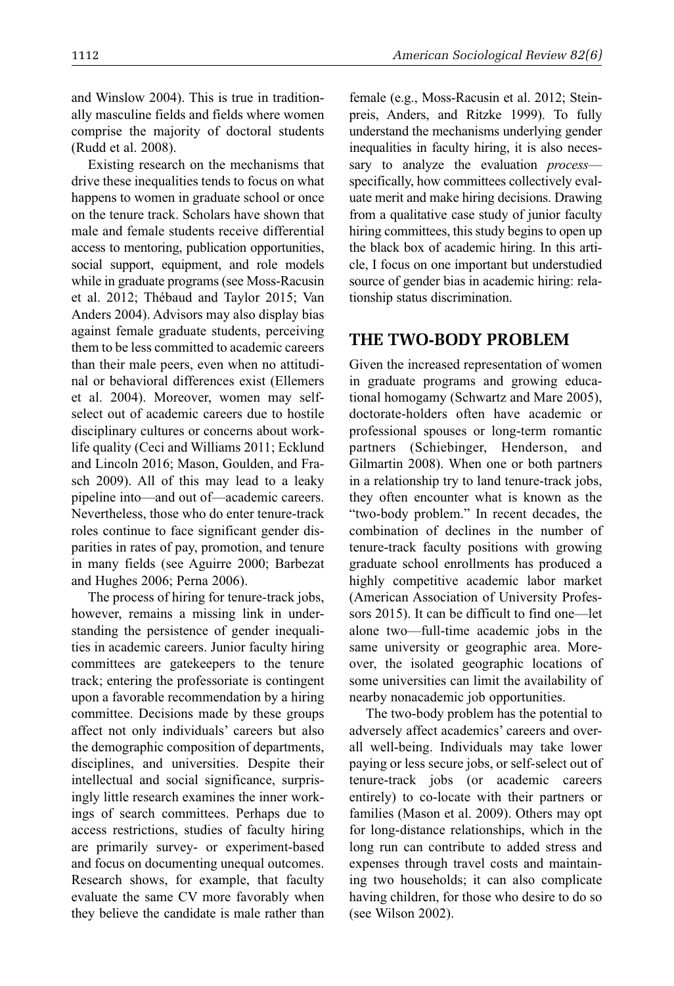and Winslow 2004). This is true in traditionally masculine fields and fields where women comprise the majority of doctoral students (Rudd et al. 2008).

Existing research on the mechanisms that drive these inequalities tends to focus on what happens to women in graduate school or once on the tenure track. Scholars have shown that male and female students receive differential access to mentoring, publication opportunities, social support, equipment, and role models while in graduate programs (see Moss-Racusin et al. 2012; Thébaud and Taylor 2015; Van Anders 2004). Advisors may also display bias against female graduate students, perceiving them to be less committed to academic careers than their male peers, even when no attitudinal or behavioral differences exist (Ellemers et al. 2004). Moreover, women may selfselect out of academic careers due to hostile disciplinary cultures or concerns about worklife quality (Ceci and Williams 2011; Ecklund and Lincoln 2016; Mason, Goulden, and Frasch 2009). All of this may lead to a leaky pipeline into—and out of—academic careers. Nevertheless, those who do enter tenure-track roles continue to face significant gender disparities in rates of pay, promotion, and tenure in many fields (see Aguirre 2000; Barbezat and Hughes 2006; Perna 2006).

The process of hiring for tenure-track jobs, however, remains a missing link in understanding the persistence of gender inequalities in academic careers. Junior faculty hiring committees are gatekeepers to the tenure track; entering the professoriate is contingent upon a favorable recommendation by a hiring committee. Decisions made by these groups affect not only individuals' careers but also the demographic composition of departments, disciplines, and universities. Despite their intellectual and social significance, surprisingly little research examines the inner workings of search committees. Perhaps due to access restrictions, studies of faculty hiring are primarily survey- or experiment-based and focus on documenting unequal outcomes. Research shows, for example, that faculty evaluate the same CV more favorably when they believe the candidate is male rather than female (e.g., Moss-Racusin et al. 2012; Steinpreis, Anders, and Ritzke 1999). To fully understand the mechanisms underlying gender inequalities in faculty hiring, it is also necessary to analyze the evaluation *process* specifically, how committees collectively evaluate merit and make hiring decisions. Drawing from a qualitative case study of junior faculty hiring committees, this study begins to open up the black box of academic hiring. In this article, I focus on one important but understudied source of gender bias in academic hiring: relationship status discrimination.

## **The Two-Body Problem**

Given the increased representation of women in graduate programs and growing educational homogamy (Schwartz and Mare 2005), doctorate-holders often have academic or professional spouses or long-term romantic partners (Schiebinger, Henderson, and Gilmartin 2008). When one or both partners in a relationship try to land tenure-track jobs, they often encounter what is known as the "two-body problem." In recent decades, the combination of declines in the number of tenure-track faculty positions with growing graduate school enrollments has produced a highly competitive academic labor market (American Association of University Professors 2015). It can be difficult to find one—let alone two—full-time academic jobs in the same university or geographic area. Moreover, the isolated geographic locations of some universities can limit the availability of nearby nonacademic job opportunities.

The two-body problem has the potential to adversely affect academics' careers and overall well-being. Individuals may take lower paying or less secure jobs, or self-select out of tenure-track jobs (or academic careers entirely) to co-locate with their partners or families (Mason et al. 2009). Others may opt for long-distance relationships, which in the long run can contribute to added stress and expenses through travel costs and maintaining two households; it can also complicate having children, for those who desire to do so (see Wilson 2002).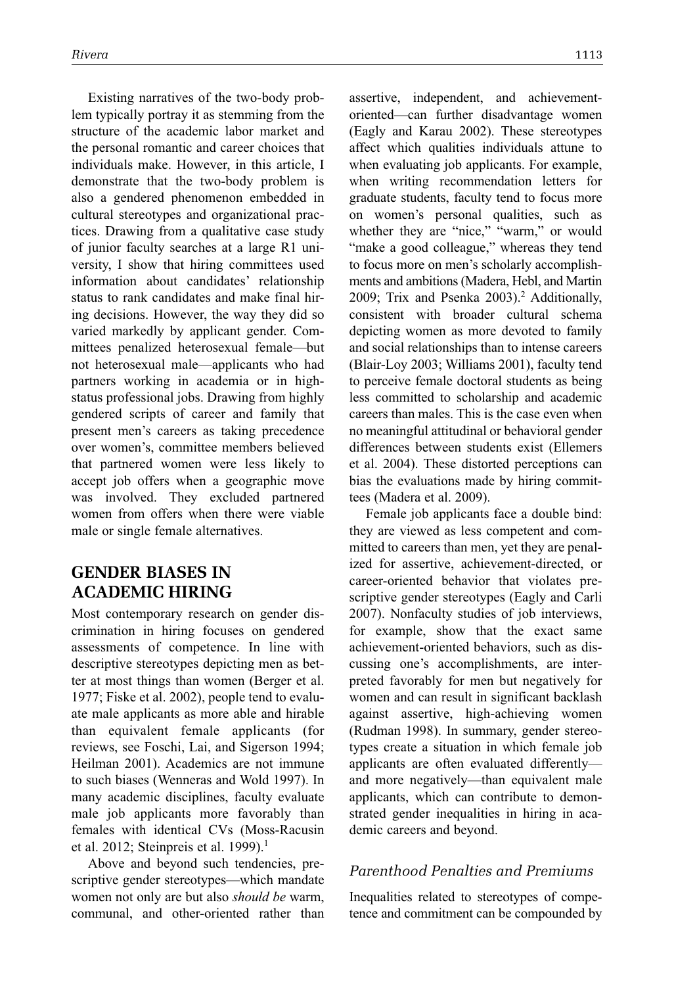Existing narratives of the two-body problem typically portray it as stemming from the structure of the academic labor market and the personal romantic and career choices that individuals make. However, in this article, I demonstrate that the two-body problem is also a gendered phenomenon embedded in cultural stereotypes and organizational practices. Drawing from a qualitative case study of junior faculty searches at a large R1 university, I show that hiring committees used information about candidates' relationship status to rank candidates and make final hiring decisions. However, the way they did so varied markedly by applicant gender. Committees penalized heterosexual female—but not heterosexual male—applicants who had partners working in academia or in highstatus professional jobs. Drawing from highly gendered scripts of career and family that present men's careers as taking precedence over women's, committee members believed that partnered women were less likely to accept job offers when a geographic move was involved. They excluded partnered women from offers when there were viable male or single female alternatives.

# **Gender Biases in Academic Hiring**

Most contemporary research on gender discrimination in hiring focuses on gendered assessments of competence. In line with descriptive stereotypes depicting men as better at most things than women (Berger et al. 1977; Fiske et al. 2002), people tend to evaluate male applicants as more able and hirable than equivalent female applicants (for reviews, see Foschi, Lai, and Sigerson 1994; Heilman 2001). Academics are not immune to such biases (Wenneras and Wold 1997). In many academic disciplines, faculty evaluate male job applicants more favorably than females with identical CVs (Moss-Racusin et al. 2012; Steinpreis et al. 1999).<sup>1</sup>

Above and beyond such tendencies, prescriptive gender stereotypes—which mandate women not only are but also *should be* warm, communal, and other-oriented rather than assertive, independent, and achievementoriented—can further disadvantage women (Eagly and Karau 2002). These stereotypes affect which qualities individuals attune to when evaluating job applicants. For example, when writing recommendation letters for graduate students, faculty tend to focus more on women's personal qualities, such as whether they are "nice," "warm," or would "make a good colleague," whereas they tend to focus more on men's scholarly accomplishments and ambitions (Madera, Hebl, and Martin 2009; Trix and Psenka 2003).<sup>2</sup> Additionally, consistent with broader cultural schema depicting women as more devoted to family and social relationships than to intense careers (Blair-Loy 2003; Williams 2001), faculty tend to perceive female doctoral students as being less committed to scholarship and academic careers than males. This is the case even when no meaningful attitudinal or behavioral gender differences between students exist (Ellemers et al. 2004). These distorted perceptions can bias the evaluations made by hiring committees (Madera et al. 2009).

Female job applicants face a double bind: they are viewed as less competent and committed to careers than men, yet they are penalized for assertive, achievement-directed, or career-oriented behavior that violates prescriptive gender stereotypes (Eagly and Carli 2007). Nonfaculty studies of job interviews, for example, show that the exact same achievement-oriented behaviors, such as discussing one's accomplishments, are interpreted favorably for men but negatively for women and can result in significant backlash against assertive, high-achieving women (Rudman 1998). In summary, gender stereotypes create a situation in which female job applicants are often evaluated differently and more negatively—than equivalent male applicants, which can contribute to demonstrated gender inequalities in hiring in academic careers and beyond.

#### *Parenthood Penalties and Premiums*

Inequalities related to stereotypes of competence and commitment can be compounded by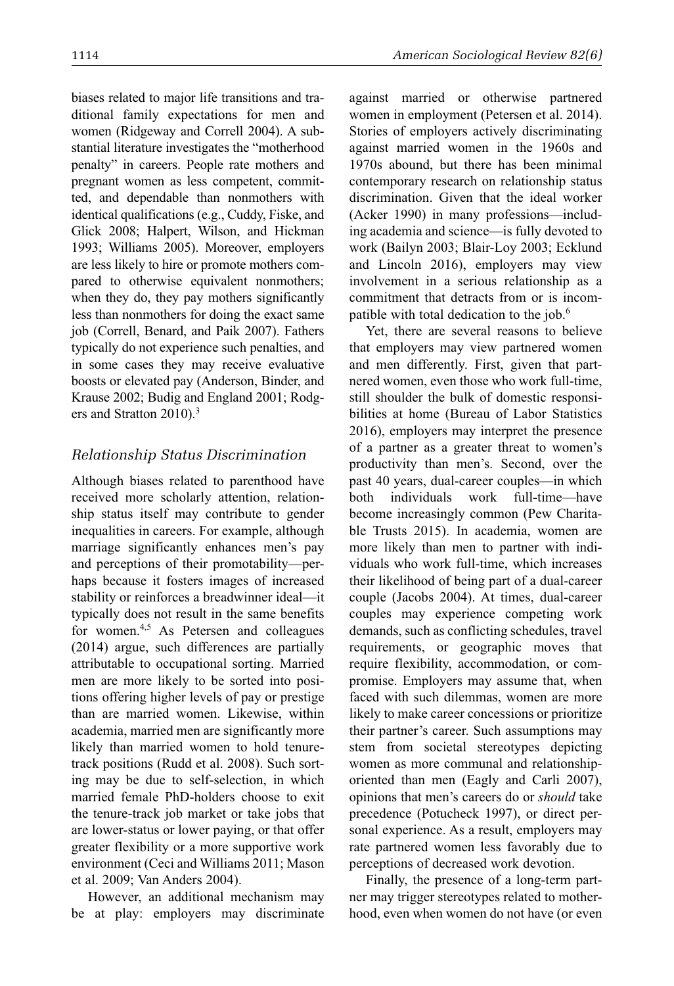biases related to major life transitions and traditional family expectations for men and women (Ridgeway and Correll 2004). A substantial literature investigates the "motherhood penalty" in careers. People rate mothers and pregnant women as less competent, committed, and dependable than nonmothers with identical qualifications (e.g., Cuddy, Fiske, and Glick 2008; Halpert, Wilson, and Hickman 1993; Williams 2005). Moreover, employers are less likely to hire or promote mothers compared to otherwise equivalent nonmothers; when they do, they pay mothers significantly less than nonmothers for doing the exact same job (Correll, Benard, and Paik 2007). Fathers typically do not experience such penalties, and in some cases they may receive evaluative boosts or elevated pay (Anderson, Binder, and Krause 2002; Budig and England 2001; Rodgers and Stratton 2010).<sup>3</sup>

# *Relationship Status Discrimination*

Although biases related to parenthood have received more scholarly attention, relationship status itself may contribute to gender inequalities in careers. For example, although marriage significantly enhances men's pay and perceptions of their promotability—perhaps because it fosters images of increased stability or reinforces a breadwinner ideal—it typically does not result in the same benefits for women.<sup>4,5</sup> As Petersen and colleagues (2014) argue, such differences are partially attributable to occupational sorting. Married men are more likely to be sorted into positions offering higher levels of pay or prestige than are married women. Likewise, within academia, married men are significantly more likely than married women to hold tenuretrack positions (Rudd et al. 2008). Such sorting may be due to self-selection, in which married female PhD-holders choose to exit the tenure-track job market or take jobs that are lower-status or lower paying, or that offer greater flexibility or a more supportive work environment (Ceci and Williams 2011; Mason et al. 2009; Van Anders 2004).

However, an additional mechanism may be at play: employers may discriminate against married or otherwise partnered women in employment (Petersen et al. 2014). Stories of employers actively discriminating against married women in the 1960s and 1970s abound, but there has been minimal contemporary research on relationship status discrimination. Given that the ideal worker (Acker 1990) in many professions—including academia and science—is fully devoted to work (Bailyn 2003; Blair-Loy 2003; Ecklund and Lincoln 2016), employers may view involvement in a serious relationship as a commitment that detracts from or is incompatible with total dedication to the job.6

Yet, there are several reasons to believe that employers may view partnered women and men differently. First, given that partnered women, even those who work full-time, still shoulder the bulk of domestic responsibilities at home (Bureau of Labor Statistics 2016), employers may interpret the presence of a partner as a greater threat to women's productivity than men's. Second, over the past 40 years, dual-career couples—in which both individuals work full-time—have become increasingly common (Pew Charitable Trusts 2015). In academia, women are more likely than men to partner with individuals who work full-time, which increases their likelihood of being part of a dual-career couple (Jacobs 2004). At times, dual-career couples may experience competing work demands, such as conflicting schedules, travel requirements, or geographic moves that require flexibility, accommodation, or compromise. Employers may assume that, when faced with such dilemmas, women are more likely to make career concessions or prioritize their partner's career. Such assumptions may stem from societal stereotypes depicting women as more communal and relationshiporiented than men (Eagly and Carli 2007), opinions that men's careers do or *should* take precedence (Potucheck 1997), or direct personal experience. As a result, employers may rate partnered women less favorably due to perceptions of decreased work devotion.

Finally, the presence of a long-term partner may trigger stereotypes related to motherhood, even when women do not have (or even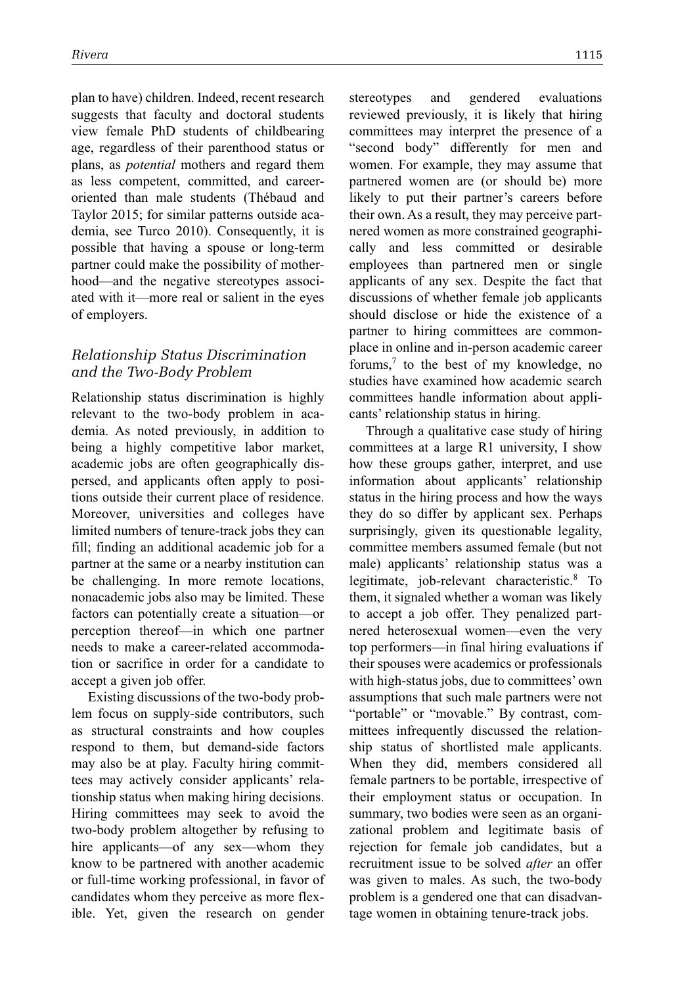plan to have) children. Indeed, recent research suggests that faculty and doctoral students view female PhD students of childbearing age, regardless of their parenthood status or plans, as *potential* mothers and regard them as less competent, committed, and careeroriented than male students (Thébaud and Taylor 2015; for similar patterns outside academia, see Turco 2010). Consequently, it is possible that having a spouse or long-term partner could make the possibility of motherhood—and the negative stereotypes associated with it—more real or salient in the eyes of employers.

#### *Relationship Status Discrimination and the Two-Body Problem*

Relationship status discrimination is highly relevant to the two-body problem in academia. As noted previously, in addition to being a highly competitive labor market, academic jobs are often geographically dispersed, and applicants often apply to positions outside their current place of residence. Moreover, universities and colleges have limited numbers of tenure-track jobs they can fill; finding an additional academic job for a partner at the same or a nearby institution can be challenging. In more remote locations, nonacademic jobs also may be limited. These factors can potentially create a situation—or perception thereof—in which one partner needs to make a career-related accommodation or sacrifice in order for a candidate to accept a given job offer.

Existing discussions of the two-body problem focus on supply-side contributors, such as structural constraints and how couples respond to them, but demand-side factors may also be at play. Faculty hiring committees may actively consider applicants' relationship status when making hiring decisions. Hiring committees may seek to avoid the two-body problem altogether by refusing to hire applicants—of any sex—whom they know to be partnered with another academic or full-time working professional, in favor of candidates whom they perceive as more flexible. Yet, given the research on gender

stereotypes and gendered evaluations reviewed previously, it is likely that hiring committees may interpret the presence of a "second body" differently for men and women. For example, they may assume that partnered women are (or should be) more likely to put their partner's careers before their own. As a result, they may perceive partnered women as more constrained geographically and less committed or desirable employees than partnered men or single applicants of any sex. Despite the fact that discussions of whether female job applicants should disclose or hide the existence of a partner to hiring committees are commonplace in online and in-person academic career forums,<sup>7</sup> to the best of my knowledge, no studies have examined how academic search committees handle information about applicants' relationship status in hiring.

Through a qualitative case study of hiring committees at a large R1 university, I show how these groups gather, interpret, and use information about applicants' relationship status in the hiring process and how the ways they do so differ by applicant sex. Perhaps surprisingly, given its questionable legality, committee members assumed female (but not male) applicants' relationship status was a legitimate, job-relevant characteristic.8 To them, it signaled whether a woman was likely to accept a job offer. They penalized partnered heterosexual women—even the very top performers—in final hiring evaluations if their spouses were academics or professionals with high-status jobs, due to committees' own assumptions that such male partners were not "portable" or "movable." By contrast, committees infrequently discussed the relationship status of shortlisted male applicants. When they did, members considered all female partners to be portable, irrespective of their employment status or occupation. In summary, two bodies were seen as an organizational problem and legitimate basis of rejection for female job candidates, but a recruitment issue to be solved *after* an offer was given to males. As such, the two-body problem is a gendered one that can disadvantage women in obtaining tenure-track jobs.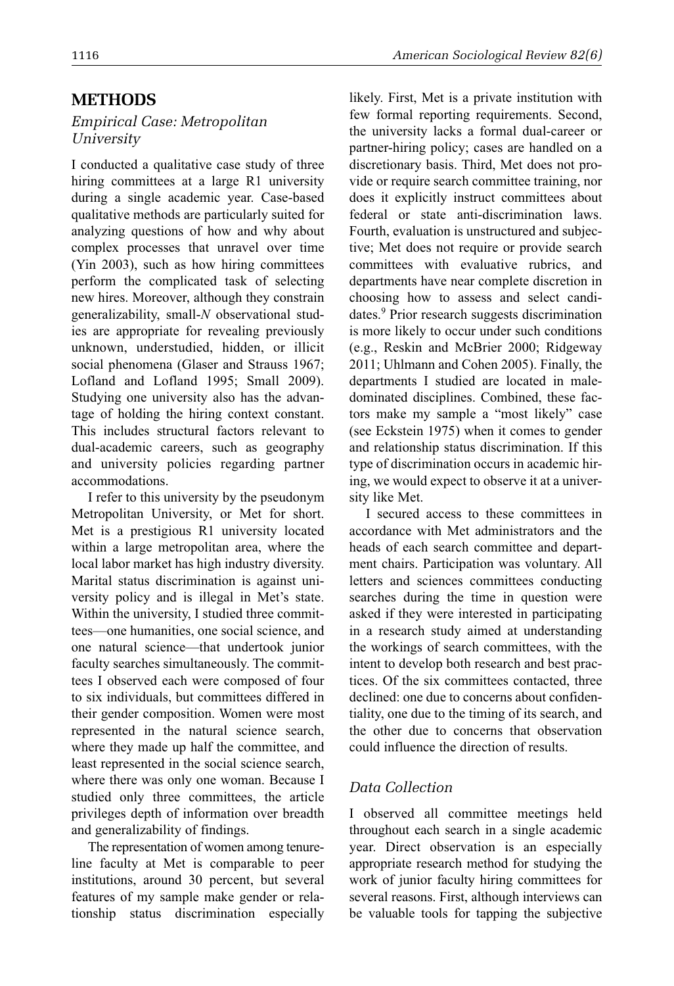## **Methods**

#### *Empirical Case: Metropolitan University*

I conducted a qualitative case study of three hiring committees at a large R1 university during a single academic year. Case-based qualitative methods are particularly suited for analyzing questions of how and why about complex processes that unravel over time (Yin 2003), such as how hiring committees perform the complicated task of selecting new hires. Moreover, although they constrain generalizability, small-*N* observational studies are appropriate for revealing previously unknown, understudied, hidden, or illicit social phenomena (Glaser and Strauss 1967; Lofland and Lofland 1995; Small 2009). Studying one university also has the advantage of holding the hiring context constant. This includes structural factors relevant to dual-academic careers, such as geography and university policies regarding partner accommodations.

I refer to this university by the pseudonym Metropolitan University, or Met for short. Met is a prestigious R1 university located within a large metropolitan area, where the local labor market has high industry diversity. Marital status discrimination is against university policy and is illegal in Met's state. Within the university, I studied three committees—one humanities, one social science, and one natural science—that undertook junior faculty searches simultaneously. The committees I observed each were composed of four to six individuals, but committees differed in their gender composition. Women were most represented in the natural science search, where they made up half the committee, and least represented in the social science search, where there was only one woman. Because I studied only three committees, the article privileges depth of information over breadth and generalizability of findings.

The representation of women among tenureline faculty at Met is comparable to peer institutions, around 30 percent, but several features of my sample make gender or relationship status discrimination especially likely. First, Met is a private institution with few formal reporting requirements. Second, the university lacks a formal dual-career or partner-hiring policy; cases are handled on a discretionary basis. Third, Met does not provide or require search committee training, nor does it explicitly instruct committees about federal or state anti-discrimination laws. Fourth, evaluation is unstructured and subjective; Met does not require or provide search committees with evaluative rubrics, and departments have near complete discretion in choosing how to assess and select candidates.<sup>9</sup> Prior research suggests discrimination is more likely to occur under such conditions (e.g., Reskin and McBrier 2000; Ridgeway 2011; Uhlmann and Cohen 2005). Finally, the departments I studied are located in maledominated disciplines. Combined, these factors make my sample a "most likely" case (see Eckstein 1975) when it comes to gender and relationship status discrimination. If this type of discrimination occurs in academic hiring, we would expect to observe it at a university like Met.

I secured access to these committees in accordance with Met administrators and the heads of each search committee and department chairs. Participation was voluntary. All letters and sciences committees conducting searches during the time in question were asked if they were interested in participating in a research study aimed at understanding the workings of search committees, with the intent to develop both research and best practices. Of the six committees contacted, three declined: one due to concerns about confidentiality, one due to the timing of its search, and the other due to concerns that observation could influence the direction of results.

## *Data Collection*

I observed all committee meetings held throughout each search in a single academic year. Direct observation is an especially appropriate research method for studying the work of junior faculty hiring committees for several reasons. First, although interviews can be valuable tools for tapping the subjective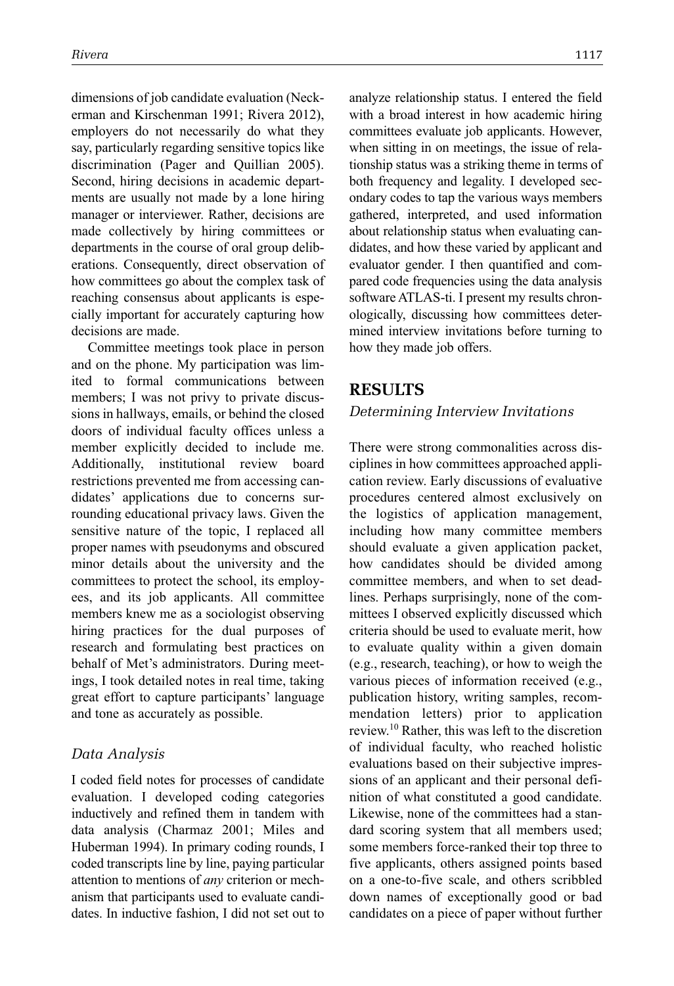dimensions of job candidate evaluation (Neckerman and Kirschenman 1991; Rivera 2012), employers do not necessarily do what they say, particularly regarding sensitive topics like discrimination (Pager and Quillian 2005). Second, hiring decisions in academic departments are usually not made by a lone hiring manager or interviewer. Rather, decisions are made collectively by hiring committees or departments in the course of oral group deliberations. Consequently, direct observation of how committees go about the complex task of reaching consensus about applicants is especially important for accurately capturing how decisions are made.

Committee meetings took place in person and on the phone. My participation was limited to formal communications between members; I was not privy to private discussions in hallways, emails, or behind the closed doors of individual faculty offices unless a member explicitly decided to include me. Additionally, institutional review board restrictions prevented me from accessing candidates' applications due to concerns surrounding educational privacy laws. Given the sensitive nature of the topic, I replaced all proper names with pseudonyms and obscured minor details about the university and the committees to protect the school, its employees, and its job applicants. All committee members knew me as a sociologist observing hiring practices for the dual purposes of research and formulating best practices on behalf of Met's administrators. During meetings, I took detailed notes in real time, taking great effort to capture participants' language and tone as accurately as possible.

#### *Data Analysis*

I coded field notes for processes of candidate evaluation. I developed coding categories inductively and refined them in tandem with data analysis (Charmaz 2001; Miles and Huberman 1994). In primary coding rounds, I coded transcripts line by line, paying particular attention to mentions of *any* criterion or mechanism that participants used to evaluate candidates. In inductive fashion, I did not set out to analyze relationship status. I entered the field with a broad interest in how academic hiring committees evaluate job applicants. However, when sitting in on meetings, the issue of relationship status was a striking theme in terms of both frequency and legality. I developed secondary codes to tap the various ways members gathered, interpreted, and used information about relationship status when evaluating candidates, and how these varied by applicant and evaluator gender. I then quantified and compared code frequencies using the data analysis software ATLAS-ti. I present my results chronologically, discussing how committees determined interview invitations before turning to how they made job offers.

### **Results**

#### *Determining Interview Invitations*

There were strong commonalities across disciplines in how committees approached application review. Early discussions of evaluative procedures centered almost exclusively on the logistics of application management, including how many committee members should evaluate a given application packet, how candidates should be divided among committee members, and when to set deadlines. Perhaps surprisingly, none of the committees I observed explicitly discussed which criteria should be used to evaluate merit, how to evaluate quality within a given domain (e.g., research, teaching), or how to weigh the various pieces of information received (e.g., publication history, writing samples, recommendation letters) prior to application review.10 Rather, this was left to the discretion of individual faculty, who reached holistic evaluations based on their subjective impressions of an applicant and their personal definition of what constituted a good candidate. Likewise, none of the committees had a standard scoring system that all members used; some members force-ranked their top three to five applicants, others assigned points based on a one-to-five scale, and others scribbled down names of exceptionally good or bad candidates on a piece of paper without further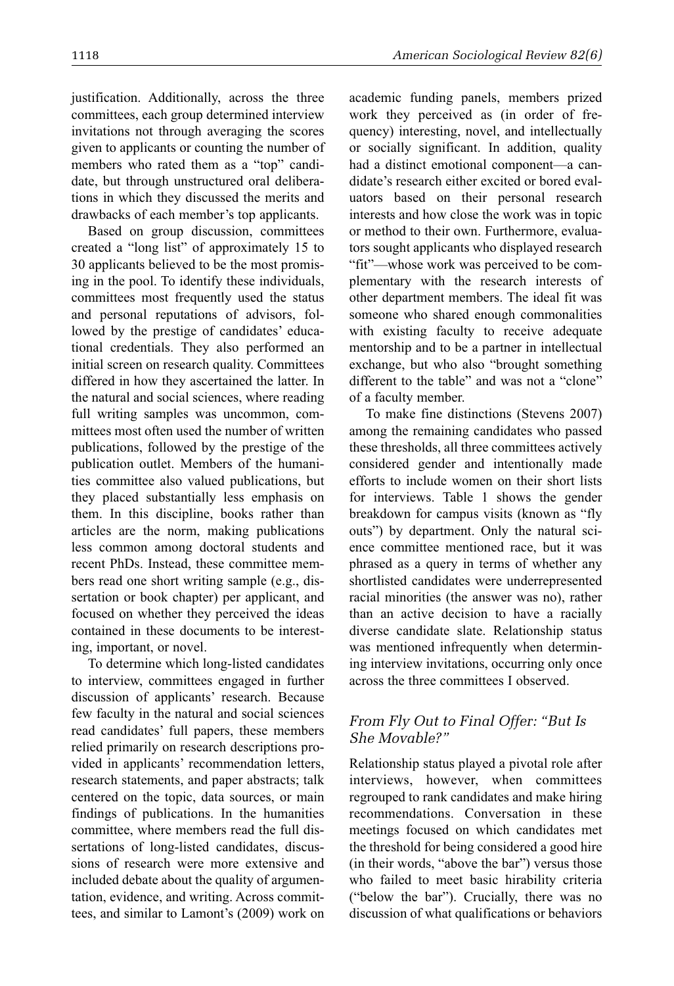justification. Additionally, across the three committees, each group determined interview invitations not through averaging the scores given to applicants or counting the number of members who rated them as a "top" candidate, but through unstructured oral deliberations in which they discussed the merits and drawbacks of each member's top applicants.

Based on group discussion, committees created a "long list" of approximately 15 to 30 applicants believed to be the most promising in the pool. To identify these individuals, committees most frequently used the status and personal reputations of advisors, followed by the prestige of candidates' educational credentials. They also performed an initial screen on research quality. Committees differed in how they ascertained the latter. In the natural and social sciences, where reading full writing samples was uncommon, committees most often used the number of written publications, followed by the prestige of the publication outlet. Members of the humanities committee also valued publications, but they placed substantially less emphasis on them. In this discipline, books rather than articles are the norm, making publications less common among doctoral students and recent PhDs. Instead, these committee members read one short writing sample (e.g., dissertation or book chapter) per applicant, and focused on whether they perceived the ideas contained in these documents to be interesting, important, or novel.

To determine which long-listed candidates to interview, committees engaged in further discussion of applicants' research. Because few faculty in the natural and social sciences read candidates' full papers, these members relied primarily on research descriptions provided in applicants' recommendation letters, research statements, and paper abstracts; talk centered on the topic, data sources, or main findings of publications. In the humanities committee, where members read the full dissertations of long-listed candidates, discussions of research were more extensive and included debate about the quality of argumentation, evidence, and writing. Across committees, and similar to Lamont's (2009) work on academic funding panels, members prized work they perceived as (in order of frequency) interesting, novel, and intellectually or socially significant. In addition, quality had a distinct emotional component—a candidate's research either excited or bored evaluators based on their personal research interests and how close the work was in topic or method to their own. Furthermore, evaluators sought applicants who displayed research "fit"—whose work was perceived to be complementary with the research interests of other department members. The ideal fit was someone who shared enough commonalities with existing faculty to receive adequate mentorship and to be a partner in intellectual exchange, but who also "brought something different to the table" and was not a "clone" of a faculty member.

To make fine distinctions (Stevens 2007) among the remaining candidates who passed these thresholds, all three committees actively considered gender and intentionally made efforts to include women on their short lists for interviews. Table 1 shows the gender breakdown for campus visits (known as "fly outs") by department. Only the natural science committee mentioned race, but it was phrased as a query in terms of whether any shortlisted candidates were underrepresented racial minorities (the answer was no), rather than an active decision to have a racially diverse candidate slate. Relationship status was mentioned infrequently when determining interview invitations, occurring only once across the three committees I observed.

### *From Fly Out to Final Offer: "But Is She Movable?"*

Relationship status played a pivotal role after interviews, however, when committees regrouped to rank candidates and make hiring recommendations. Conversation in these meetings focused on which candidates met the threshold for being considered a good hire (in their words, "above the bar") versus those who failed to meet basic hirability criteria ("below the bar"). Crucially, there was no discussion of what qualifications or behaviors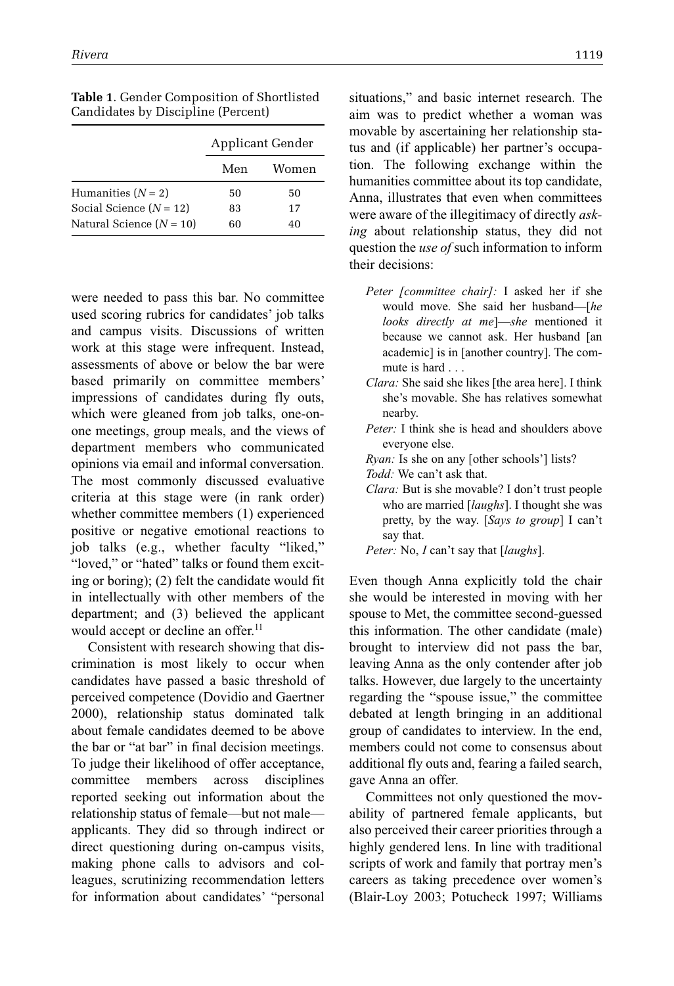|                            | <b>Applicant Gender</b> |       |
|----------------------------|-------------------------|-------|
|                            | Men                     | Women |
| Humanities $(N = 2)$       | 50                      | 50    |
| Social Science $(N = 12)$  | 83                      | 17    |
| Natural Science $(N = 10)$ | 60                      | 40    |

**Table 1**. Gender Composition of Shortlisted Candidates by Discipline (Percent)

were needed to pass this bar. No committee used scoring rubrics for candidates' job talks and campus visits. Discussions of written work at this stage were infrequent. Instead, assessments of above or below the bar were based primarily on committee members' impressions of candidates during fly outs, which were gleaned from job talks, one-onone meetings, group meals, and the views of department members who communicated opinions via email and informal conversation. The most commonly discussed evaluative criteria at this stage were (in rank order) whether committee members (1) experienced positive or negative emotional reactions to job talks (e.g., whether faculty "liked," "loved," or "hated" talks or found them exciting or boring); (2) felt the candidate would fit in intellectually with other members of the department; and (3) believed the applicant would accept or decline an offer.<sup>11</sup>

Consistent with research showing that discrimination is most likely to occur when candidates have passed a basic threshold of perceived competence (Dovidio and Gaertner 2000), relationship status dominated talk about female candidates deemed to be above the bar or "at bar" in final decision meetings. To judge their likelihood of offer acceptance, committee members across disciplines reported seeking out information about the relationship status of female—but not male applicants. They did so through indirect or direct questioning during on-campus visits, making phone calls to advisors and colleagues, scrutinizing recommendation letters for information about candidates' "personal

situations," and basic internet research. The aim was to predict whether a woman was movable by ascertaining her relationship status and (if applicable) her partner's occupation. The following exchange within the humanities committee about its top candidate, Anna, illustrates that even when committees were aware of the illegitimacy of directly *asking* about relationship status, they did not question the *use of* such information to inform their decisions:

- *Peter [committee chair]:* I asked her if she would move. She said her husband—[*he looks directly at me*]—*she* mentioned it because we cannot ask. Her husband [an academic] is in [another country]. The commute is hard . . .
- *Clara:* She said she likes [the area here]. I think she's movable. She has relatives somewhat nearby.
- *Peter:* I think she is head and shoulders above everyone else.
- *Ryan:* Is she on any [other schools'] lists?
- *Todd:* We can't ask that.
- *Clara:* But is she movable? I don't trust people who are married [*laughs*]. I thought she was pretty, by the way. [*Says to group*] I can't say that.
- *Peter:* No, *I* can't say that [*laughs*].

Even though Anna explicitly told the chair she would be interested in moving with her spouse to Met, the committee second-guessed this information. The other candidate (male) brought to interview did not pass the bar, leaving Anna as the only contender after job talks. However, due largely to the uncertainty regarding the "spouse issue," the committee debated at length bringing in an additional group of candidates to interview. In the end, members could not come to consensus about additional fly outs and, fearing a failed search, gave Anna an offer.

Committees not only questioned the movability of partnered female applicants, but also perceived their career priorities through a highly gendered lens. In line with traditional scripts of work and family that portray men's careers as taking precedence over women's (Blair-Loy 2003; Potucheck 1997; Williams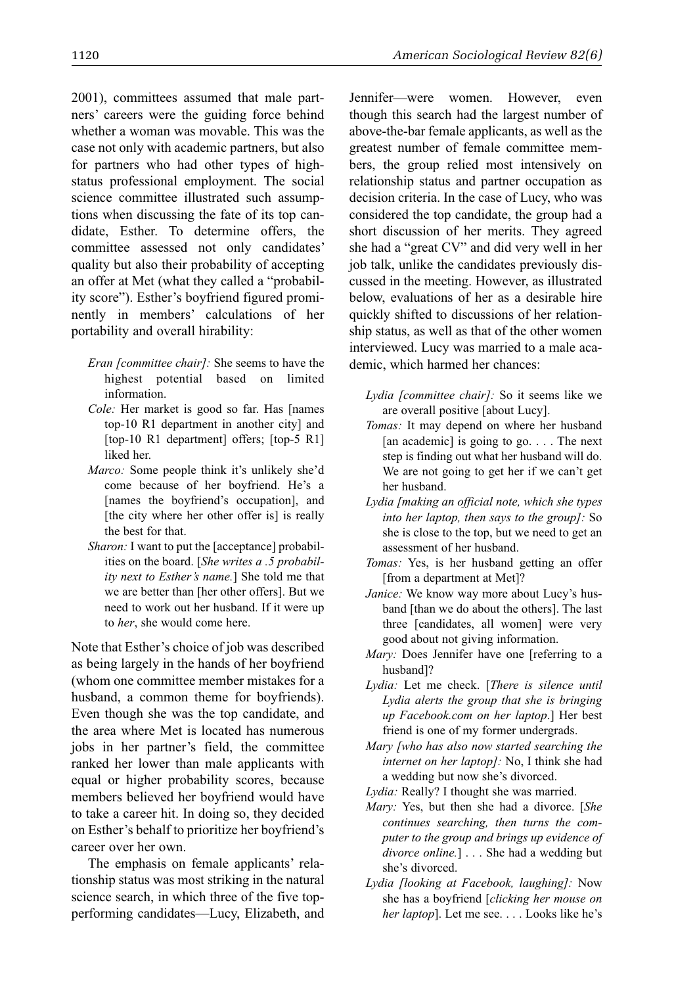2001), committees assumed that male partners' careers were the guiding force behind whether a woman was movable. This was the case not only with academic partners, but also for partners who had other types of highstatus professional employment. The social science committee illustrated such assumptions when discussing the fate of its top candidate, Esther. To determine offers, the committee assessed not only candidates' quality but also their probability of accepting an offer at Met (what they called a "probability score"). Esther's boyfriend figured prominently in members' calculations of her portability and overall hirability:

- *Eran [committee chair]:* She seems to have the highest potential based on limited information.
- *Cole:* Her market is good so far. Has [names top-10 R1 department in another city] and [top-10 R1 department] offers; [top-5 R1] liked her.
- *Marco:* Some people think it's unlikely she'd come because of her boyfriend. He's a [names the boyfriend's occupation], and [the city where her other offer is] is really the best for that.
- *Sharon:* I want to put the [acceptance] probabilities on the board. [*She writes a .5 probability next to Esther's name.*] She told me that we are better than [her other offers]. But we need to work out her husband. If it were up to *her*, she would come here.

Note that Esther's choice of job was described as being largely in the hands of her boyfriend (whom one committee member mistakes for a husband, a common theme for boyfriends). Even though she was the top candidate, and the area where Met is located has numerous jobs in her partner's field, the committee ranked her lower than male applicants with equal or higher probability scores, because members believed her boyfriend would have to take a career hit. In doing so, they decided on Esther's behalf to prioritize her boyfriend's career over her own.

The emphasis on female applicants' relationship status was most striking in the natural science search, in which three of the five topperforming candidates—Lucy, Elizabeth, and Jennifer—were women. However, even though this search had the largest number of above-the-bar female applicants, as well as the greatest number of female committee members, the group relied most intensively on relationship status and partner occupation as decision criteria. In the case of Lucy, who was considered the top candidate, the group had a short discussion of her merits. They agreed she had a "great CV" and did very well in her job talk, unlike the candidates previously discussed in the meeting. However, as illustrated below, evaluations of her as a desirable hire quickly shifted to discussions of her relationship status, as well as that of the other women interviewed. Lucy was married to a male academic, which harmed her chances:

- *Lydia [committee chair]:* So it seems like we are overall positive [about Lucy].
- *Tomas:* It may depend on where her husband [an academic] is going to go. . . . The next step is finding out what her husband will do. We are not going to get her if we can't get her husband.
- *Lydia [making an official note, which she types into her laptop, then says to the group]:* So she is close to the top, but we need to get an assessment of her husband.
- *Tomas:* Yes, is her husband getting an offer [from a department at Met]?
- *Janice:* We know way more about Lucy's husband [than we do about the others]. The last three [candidates, all women] were very good about not giving information.
- *Mary:* Does Jennifer have one [referring to a husband]?
- *Lydia:* Let me check. [*There is silence until Lydia alerts the group that she is bringing up Facebook.com on her laptop*.] Her best friend is one of my former undergrads.
- *Mary [who has also now started searching the internet on her laptop]:* No, I think she had a wedding but now she's divorced.
- *Lydia:* Really? I thought she was married.
- *Mary:* Yes, but then she had a divorce. [*She continues searching, then turns the computer to the group and brings up evidence of divorce online.*] . . . She had a wedding but she's divorced.
- *Lydia [looking at Facebook, laughing]:* Now she has a boyfriend [*clicking her mouse on her laptop*]. Let me see. . . . Looks like he's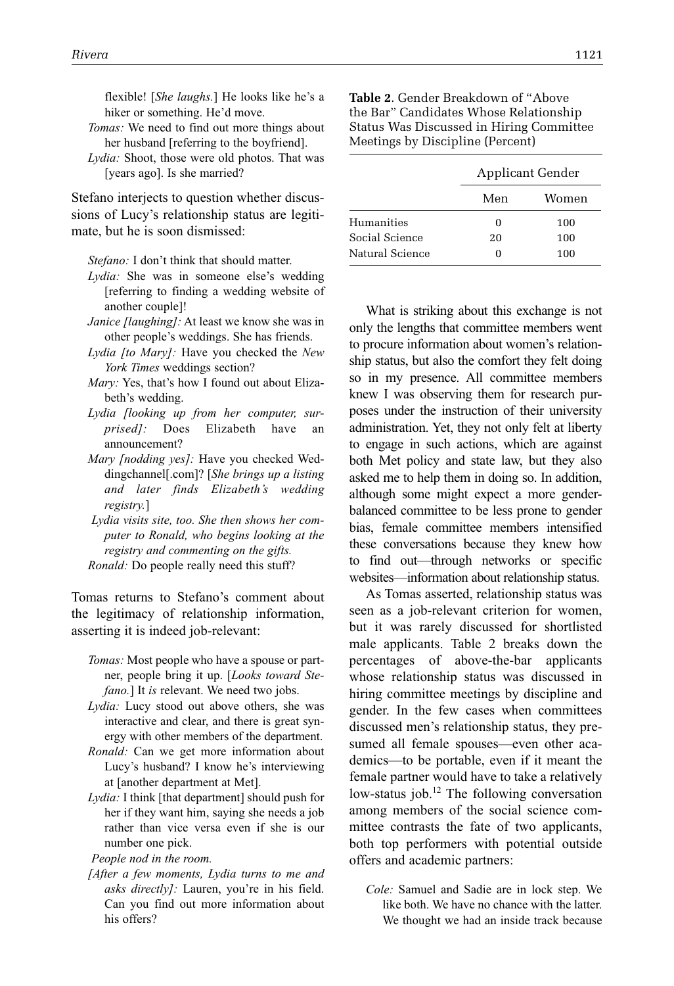flexible! [*She laughs.*] He looks like he's a hiker or something. He'd move.

- *Tomas:* We need to find out more things about her husband [referring to the boyfriend].
- *Lydia:* Shoot, those were old photos. That was [years ago]. Is she married?

Stefano interjects to question whether discussions of Lucy's relationship status are legitimate, but he is soon dismissed:

*Stefano:* I don't think that should matter.

- *Lydia:* She was in someone else's wedding [referring to finding a wedding website of another couple]!
- *Janice [laughing]:* At least we know she was in other people's weddings. She has friends.
- *Lydia [to Mary]:* Have you checked the *New York Times* weddings section?
- *Mary:* Yes, that's how I found out about Elizabeth's wedding.
- *Lydia [looking up from her computer, surprised]:* Does Elizabeth have an announcement?
- *Mary [nodding yes]:* Have you checked Weddingchannel[.com]? [*She brings up a listing and later finds Elizabeth's wedding registry.*]
- *Lydia visits site, too. She then shows her computer to Ronald, who begins looking at the registry and commenting on the gifts. Ronald:* Do people really need this stuff?

Tomas returns to Stefano's comment about the legitimacy of relationship information, asserting it is indeed job-relevant:

- *Tomas:* Most people who have a spouse or partner, people bring it up. [*Looks toward Stefano.*] It *is* relevant. We need two jobs.
- *Lydia:* Lucy stood out above others, she was interactive and clear, and there is great synergy with other members of the department.
- *Ronald:* Can we get more information about Lucy's husband? I know he's interviewing at [another department at Met].
- *Lydia:* I think [that department] should push for her if they want him, saying she needs a job rather than vice versa even if she is our number one pick.

*People nod in the room.*

*[After a few moments, Lydia turns to me and asks directly]:* Lauren, you're in his field. Can you find out more information about his offers?

**Table 2**. Gender Breakdown of "Above the Bar" Candidates Whose Relationship Status Was Discussed in Hiring Committee Meetings by Discipline (Percent)

|                 |     | <b>Applicant Gender</b> |  |
|-----------------|-----|-------------------------|--|
|                 | Men | Women                   |  |
| Humanities      | 0   | 100                     |  |
| Social Science  | 20  | 100                     |  |
| Natural Science | O   | 100                     |  |

What is striking about this exchange is not only the lengths that committee members went to procure information about women's relationship status, but also the comfort they felt doing so in my presence. All committee members knew I was observing them for research purposes under the instruction of their university administration. Yet, they not only felt at liberty to engage in such actions, which are against both Met policy and state law, but they also asked me to help them in doing so. In addition, although some might expect a more genderbalanced committee to be less prone to gender bias, female committee members intensified these conversations because they knew how to find out—through networks or specific websites—information about relationship status.

As Tomas asserted, relationship status was seen as a job-relevant criterion for women, but it was rarely discussed for shortlisted male applicants. Table 2 breaks down the percentages of above-the-bar applicants whose relationship status was discussed in hiring committee meetings by discipline and gender. In the few cases when committees discussed men's relationship status, they presumed all female spouses—even other academics—to be portable, even if it meant the female partner would have to take a relatively low-status job.<sup>12</sup> The following conversation among members of the social science committee contrasts the fate of two applicants, both top performers with potential outside offers and academic partners:

*Cole:* Samuel and Sadie are in lock step. We like both. We have no chance with the latter. We thought we had an inside track because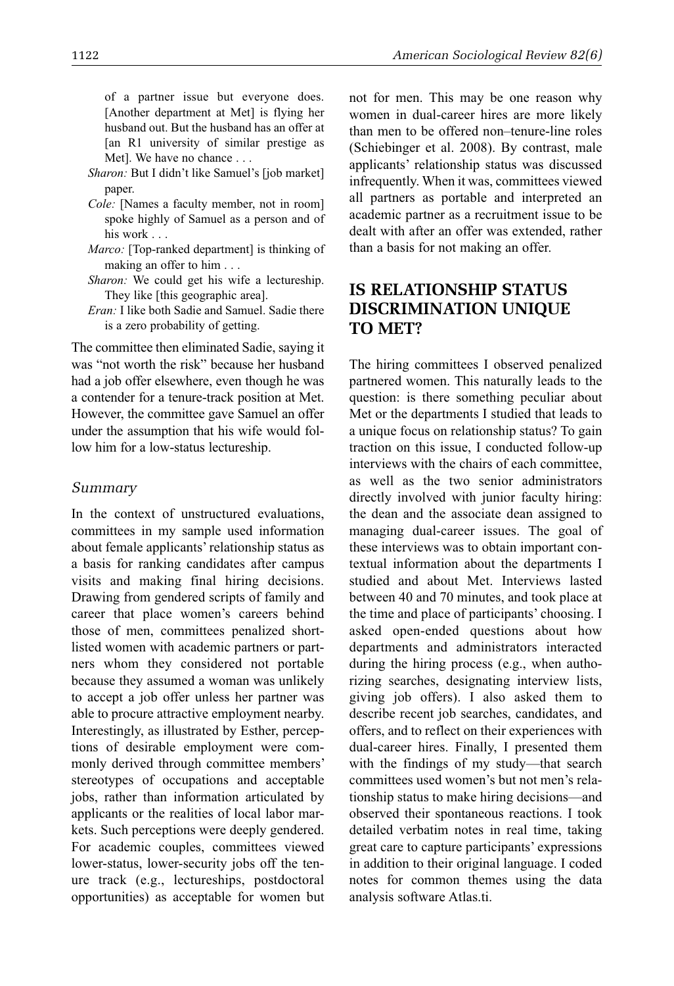of a partner issue but everyone does. [Another department at Met] is flying her husband out. But the husband has an offer at [an R1 university of similar prestige as Met]. We have no chance . . .

- *Sharon:* But I didn't like Samuel's [job market] paper.
- *Cole:* [Names a faculty member, not in room] spoke highly of Samuel as a person and of his work . . .
- *Marco:* [Top-ranked department] is thinking of making an offer to him . . .
- *Sharon:* We could get his wife a lectureship. They like [this geographic area].
- *Eran:* I like both Sadie and Samuel. Sadie there is a zero probability of getting.

The committee then eliminated Sadie, saying it was "not worth the risk" because her husband had a job offer elsewhere, even though he was a contender for a tenure-track position at Met. However, the committee gave Samuel an offer under the assumption that his wife would follow him for a low-status lectureship.

#### *Summary*

In the context of unstructured evaluations, committees in my sample used information about female applicants' relationship status as a basis for ranking candidates after campus visits and making final hiring decisions. Drawing from gendered scripts of family and career that place women's careers behind those of men, committees penalized shortlisted women with academic partners or partners whom they considered not portable because they assumed a woman was unlikely to accept a job offer unless her partner was able to procure attractive employment nearby. Interestingly, as illustrated by Esther, perceptions of desirable employment were commonly derived through committee members' stereotypes of occupations and acceptable jobs, rather than information articulated by applicants or the realities of local labor markets. Such perceptions were deeply gendered. For academic couples, committees viewed lower-status, lower-security jobs off the tenure track (e.g., lectureships, postdoctoral opportunities) as acceptable for women but not for men. This may be one reason why women in dual-career hires are more likely than men to be offered non–tenure-line roles (Schiebinger et al. 2008). By contrast, male applicants' relationship status was discussed infrequently. When it was, committees viewed all partners as portable and interpreted an academic partner as a recruitment issue to be dealt with after an offer was extended, rather than a basis for not making an offer.

# **Is Relationship Status Discrimination Unique TO MET?**

The hiring committees I observed penalized partnered women. This naturally leads to the question: is there something peculiar about Met or the departments I studied that leads to a unique focus on relationship status? To gain traction on this issue, I conducted follow-up interviews with the chairs of each committee, as well as the two senior administrators directly involved with junior faculty hiring: the dean and the associate dean assigned to managing dual-career issues. The goal of these interviews was to obtain important contextual information about the departments I studied and about Met. Interviews lasted between 40 and 70 minutes, and took place at the time and place of participants' choosing. I asked open-ended questions about how departments and administrators interacted during the hiring process (e.g., when authorizing searches, designating interview lists, giving job offers). I also asked them to describe recent job searches, candidates, and offers, and to reflect on their experiences with dual-career hires. Finally, I presented them with the findings of my study—that search committees used women's but not men's relationship status to make hiring decisions—and observed their spontaneous reactions. I took detailed verbatim notes in real time, taking great care to capture participants' expressions in addition to their original language. I coded notes for common themes using the data analysis software Atlas.ti.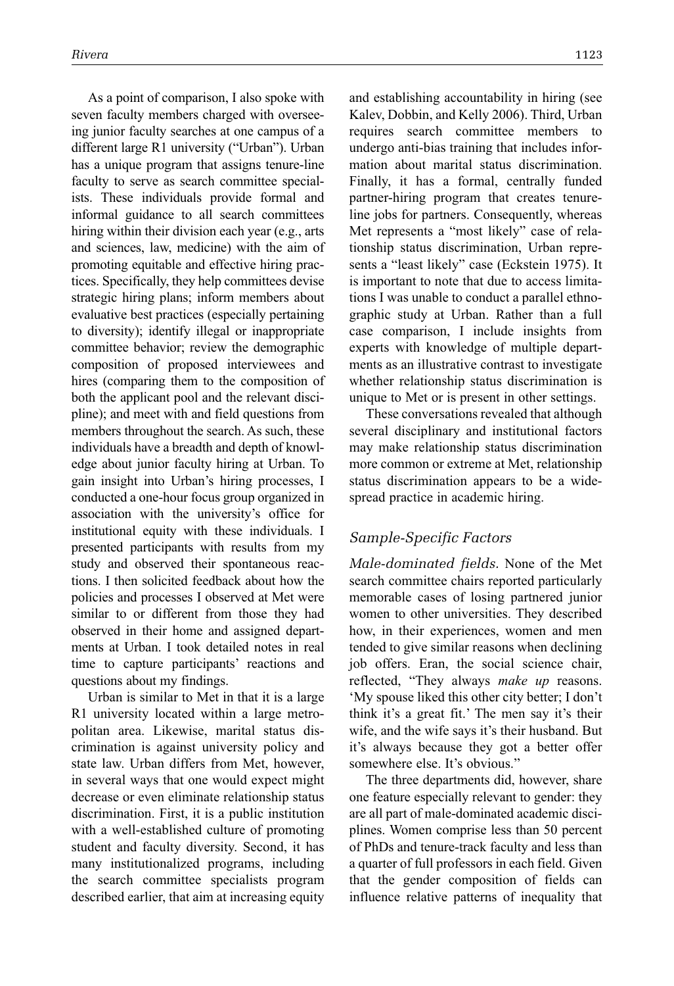As a point of comparison, I also spoke with seven faculty members charged with overseeing junior faculty searches at one campus of a different large R1 university ("Urban"). Urban has a unique program that assigns tenure-line faculty to serve as search committee specialists. These individuals provide formal and informal guidance to all search committees hiring within their division each year (e.g., arts and sciences, law, medicine) with the aim of promoting equitable and effective hiring practices. Specifically, they help committees devise strategic hiring plans; inform members about evaluative best practices (especially pertaining to diversity); identify illegal or inappropriate committee behavior; review the demographic composition of proposed interviewees and hires (comparing them to the composition of both the applicant pool and the relevant discipline); and meet with and field questions from members throughout the search. As such, these individuals have a breadth and depth of knowledge about junior faculty hiring at Urban. To gain insight into Urban's hiring processes, I conducted a one-hour focus group organized in association with the university's office for institutional equity with these individuals. I presented participants with results from my study and observed their spontaneous reactions. I then solicited feedback about how the policies and processes I observed at Met were similar to or different from those they had observed in their home and assigned departments at Urban. I took detailed notes in real time to capture participants' reactions and questions about my findings.

Urban is similar to Met in that it is a large R1 university located within a large metropolitan area. Likewise, marital status discrimination is against university policy and state law. Urban differs from Met, however, in several ways that one would expect might decrease or even eliminate relationship status discrimination. First, it is a public institution with a well-established culture of promoting student and faculty diversity. Second, it has many institutionalized programs, including the search committee specialists program described earlier, that aim at increasing equity and establishing accountability in hiring (see Kalev, Dobbin, and Kelly 2006). Third, Urban requires search committee members to undergo anti-bias training that includes information about marital status discrimination. Finally, it has a formal, centrally funded partner-hiring program that creates tenureline jobs for partners. Consequently, whereas Met represents a "most likely" case of relationship status discrimination, Urban represents a "least likely" case (Eckstein 1975). It is important to note that due to access limitations I was unable to conduct a parallel ethnographic study at Urban. Rather than a full case comparison, I include insights from experts with knowledge of multiple departments as an illustrative contrast to investigate whether relationship status discrimination is unique to Met or is present in other settings.

These conversations revealed that although several disciplinary and institutional factors may make relationship status discrimination more common or extreme at Met, relationship status discrimination appears to be a widespread practice in academic hiring.

#### *Sample-Specific Factors*

*Male-dominated fields.* None of the Met search committee chairs reported particularly memorable cases of losing partnered junior women to other universities. They described how, in their experiences, women and men tended to give similar reasons when declining job offers. Eran, the social science chair, reflected, "They always *make up* reasons. 'My spouse liked this other city better; I don't think it's a great fit.' The men say it's their wife, and the wife says it's their husband. But it's always because they got a better offer somewhere else. It's obvious."

The three departments did, however, share one feature especially relevant to gender: they are all part of male-dominated academic disciplines. Women comprise less than 50 percent of PhDs and tenure-track faculty and less than a quarter of full professors in each field. Given that the gender composition of fields can influence relative patterns of inequality that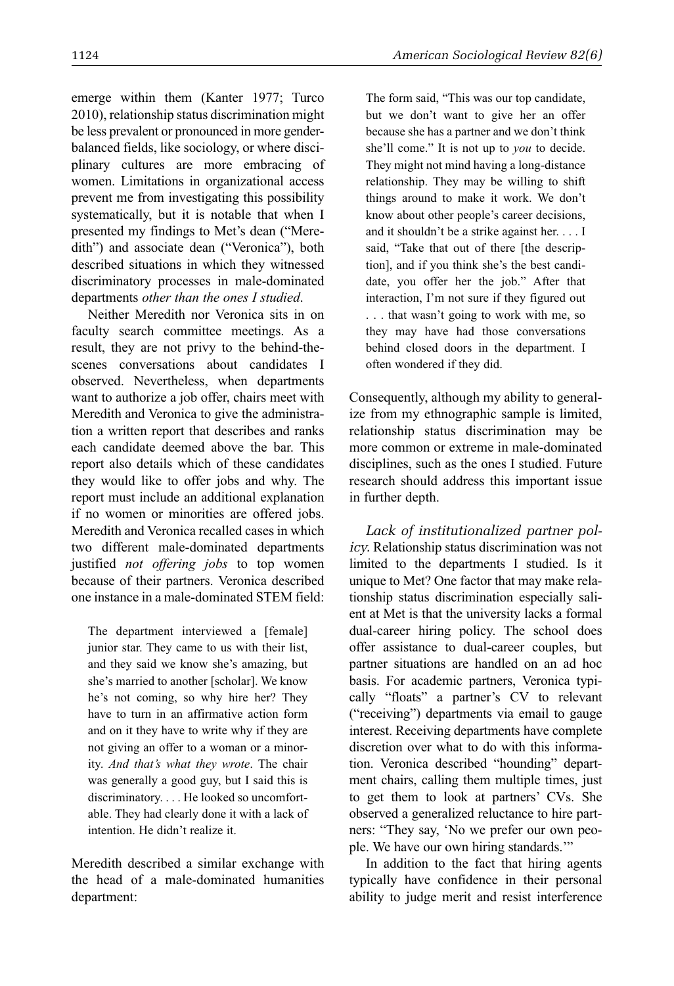emerge within them (Kanter 1977; Turco 2010), relationship status discrimination might be less prevalent or pronounced in more genderbalanced fields, like sociology, or where disciplinary cultures are more embracing of women. Limitations in organizational access prevent me from investigating this possibility systematically, but it is notable that when I presented my findings to Met's dean ("Meredith") and associate dean ("Veronica"), both described situations in which they witnessed discriminatory processes in male-dominated departments *other than the ones I studied*.

Neither Meredith nor Veronica sits in on faculty search committee meetings. As a result, they are not privy to the behind-thescenes conversations about candidates I observed. Nevertheless, when departments want to authorize a job offer, chairs meet with Meredith and Veronica to give the administration a written report that describes and ranks each candidate deemed above the bar. This report also details which of these candidates they would like to offer jobs and why. The report must include an additional explanation if no women or minorities are offered jobs. Meredith and Veronica recalled cases in which two different male-dominated departments justified *not offering jobs* to top women because of their partners. Veronica described one instance in a male-dominated STEM field:

The department interviewed a [female] junior star. They came to us with their list, and they said we know she's amazing, but she's married to another [scholar]. We know he's not coming, so why hire her? They have to turn in an affirmative action form and on it they have to write why if they are not giving an offer to a woman or a minority. *And that's what they wrote*. The chair was generally a good guy, but I said this is discriminatory. . . . He looked so uncomfortable. They had clearly done it with a lack of intention. He didn't realize it.

Meredith described a similar exchange with the head of a male-dominated humanities department:

The form said, "This was our top candidate, but we don't want to give her an offer because she has a partner and we don't think she'll come." It is not up to *you* to decide. They might not mind having a long-distance relationship. They may be willing to shift things around to make it work. We don't know about other people's career decisions, and it shouldn't be a strike against her. . . . I said, "Take that out of there [the description], and if you think she's the best candidate, you offer her the job." After that interaction, I'm not sure if they figured out . . . that wasn't going to work with me, so they may have had those conversations behind closed doors in the department. I often wondered if they did.

Consequently, although my ability to generalize from my ethnographic sample is limited, relationship status discrimination may be more common or extreme in male-dominated disciplines, such as the ones I studied. Future research should address this important issue in further depth.

*Lack of institutionalized partner policy.* Relationship status discrimination was not limited to the departments I studied. Is it unique to Met? One factor that may make relationship status discrimination especially salient at Met is that the university lacks a formal dual-career hiring policy. The school does offer assistance to dual-career couples, but partner situations are handled on an ad hoc basis. For academic partners, Veronica typically "floats" a partner's CV to relevant ("receiving") departments via email to gauge interest. Receiving departments have complete discretion over what to do with this information. Veronica described "hounding" department chairs, calling them multiple times, just to get them to look at partners' CVs. She observed a generalized reluctance to hire partners: "They say, 'No we prefer our own people. We have our own hiring standards.'"

In addition to the fact that hiring agents typically have confidence in their personal ability to judge merit and resist interference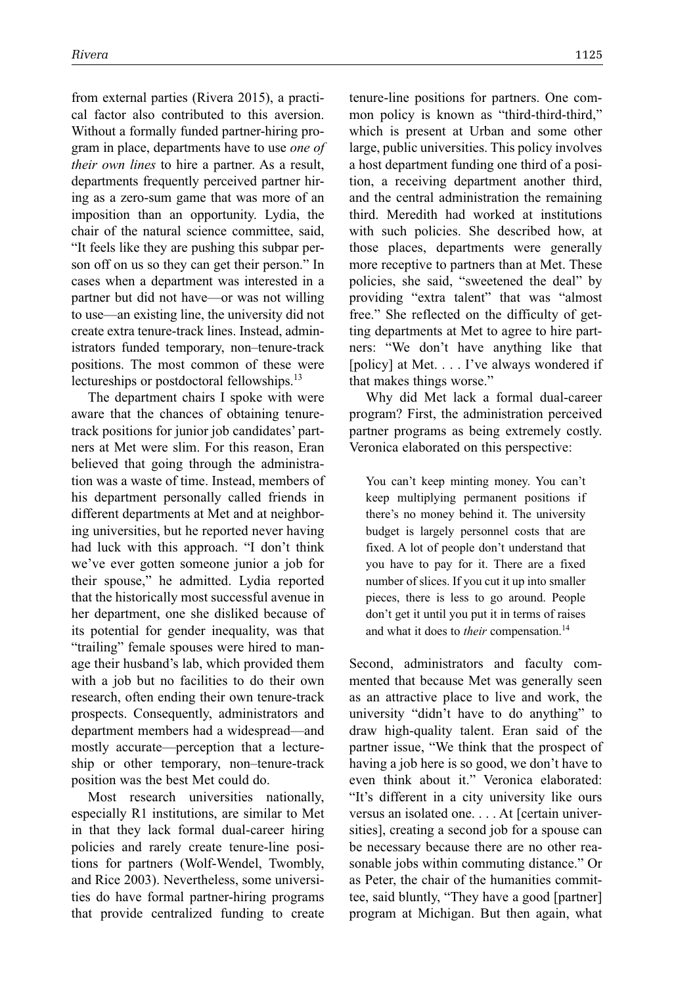from external parties (Rivera 2015), a practical factor also contributed to this aversion. Without a formally funded partner-hiring program in place, departments have to use *one of their own lines* to hire a partner. As a result, departments frequently perceived partner hiring as a zero-sum game that was more of an imposition than an opportunity. Lydia, the chair of the natural science committee, said, "It feels like they are pushing this subpar person off on us so they can get their person." In cases when a department was interested in a partner but did not have—or was not willing to use—an existing line, the university did not create extra tenure-track lines. Instead, administrators funded temporary, non–tenure-track positions. The most common of these were lectureships or postdoctoral fellowships.<sup>13</sup>

The department chairs I spoke with were aware that the chances of obtaining tenuretrack positions for junior job candidates' partners at Met were slim. For this reason, Eran believed that going through the administration was a waste of time. Instead, members of his department personally called friends in different departments at Met and at neighboring universities, but he reported never having had luck with this approach. "I don't think we've ever gotten someone junior a job for their spouse," he admitted. Lydia reported that the historically most successful avenue in her department, one she disliked because of its potential for gender inequality, was that "trailing" female spouses were hired to manage their husband's lab, which provided them with a job but no facilities to do their own research, often ending their own tenure-track prospects. Consequently, administrators and department members had a widespread—and mostly accurate—perception that a lectureship or other temporary, non–tenure-track position was the best Met could do.

Most research universities nationally, especially R1 institutions, are similar to Met in that they lack formal dual-career hiring policies and rarely create tenure-line positions for partners (Wolf-Wendel, Twombly, and Rice 2003). Nevertheless, some universities do have formal partner-hiring programs that provide centralized funding to create tenure-line positions for partners. One common policy is known as "third-third-third," which is present at Urban and some other large, public universities. This policy involves a host department funding one third of a position, a receiving department another third, and the central administration the remaining third. Meredith had worked at institutions with such policies. She described how, at those places, departments were generally more receptive to partners than at Met. These policies, she said, "sweetened the deal" by providing "extra talent" that was "almost free." She reflected on the difficulty of getting departments at Met to agree to hire partners: "We don't have anything like that [policy] at Met. . . . I've always wondered if that makes things worse."

Why did Met lack a formal dual-career program? First, the administration perceived partner programs as being extremely costly. Veronica elaborated on this perspective:

You can't keep minting money. You can't keep multiplying permanent positions if there's no money behind it. The university budget is largely personnel costs that are fixed. A lot of people don't understand that you have to pay for it. There are a fixed number of slices. If you cut it up into smaller pieces, there is less to go around. People don't get it until you put it in terms of raises and what it does to *their* compensation.<sup>14</sup>

Second, administrators and faculty commented that because Met was generally seen as an attractive place to live and work, the university "didn't have to do anything" to draw high-quality talent. Eran said of the partner issue, "We think that the prospect of having a job here is so good, we don't have to even think about it." Veronica elaborated: "It's different in a city university like ours versus an isolated one. . . . At [certain universities], creating a second job for a spouse can be necessary because there are no other reasonable jobs within commuting distance." Or as Peter, the chair of the humanities committee, said bluntly, "They have a good [partner] program at Michigan. But then again, what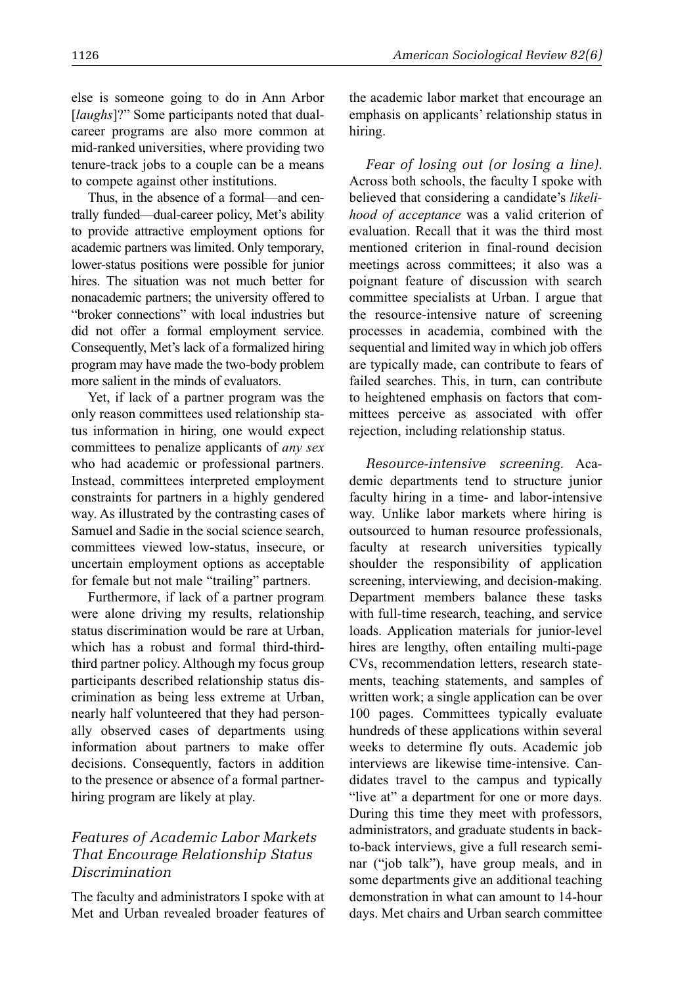else is someone going to do in Ann Arbor [*laughs*]?" Some participants noted that dualcareer programs are also more common at mid-ranked universities, where providing two tenure-track jobs to a couple can be a means to compete against other institutions.

Thus, in the absence of a formal—and centrally funded—dual-career policy, Met's ability to provide attractive employment options for academic partners was limited. Only temporary, lower-status positions were possible for junior hires. The situation was not much better for nonacademic partners; the university offered to "broker connections" with local industries but did not offer a formal employment service. Consequently, Met's lack of a formalized hiring program may have made the two-body problem more salient in the minds of evaluators.

Yet, if lack of a partner program was the only reason committees used relationship status information in hiring, one would expect committees to penalize applicants of *any sex* who had academic or professional partners. Instead, committees interpreted employment constraints for partners in a highly gendered way. As illustrated by the contrasting cases of Samuel and Sadie in the social science search, committees viewed low-status, insecure, or uncertain employment options as acceptable for female but not male "trailing" partners.

Furthermore, if lack of a partner program were alone driving my results, relationship status discrimination would be rare at Urban, which has a robust and formal third-thirdthird partner policy. Although my focus group participants described relationship status discrimination as being less extreme at Urban, nearly half volunteered that they had personally observed cases of departments using information about partners to make offer decisions. Consequently, factors in addition to the presence or absence of a formal partnerhiring program are likely at play.

## *Features of Academic Labor Markets That Encourage Relationship Status Discrimination*

The faculty and administrators I spoke with at Met and Urban revealed broader features of the academic labor market that encourage an emphasis on applicants' relationship status in hiring.

*Fear of losing out (or losing a line).* Across both schools, the faculty I spoke with believed that considering a candidate's *likelihood of acceptance* was a valid criterion of evaluation. Recall that it was the third most mentioned criterion in final-round decision meetings across committees; it also was a poignant feature of discussion with search committee specialists at Urban. I argue that the resource-intensive nature of screening processes in academia, combined with the sequential and limited way in which job offers are typically made, can contribute to fears of failed searches. This, in turn, can contribute to heightened emphasis on factors that committees perceive as associated with offer rejection, including relationship status.

*Resource-intensive screening.* Academic departments tend to structure junior faculty hiring in a time- and labor-intensive way. Unlike labor markets where hiring is outsourced to human resource professionals, faculty at research universities typically shoulder the responsibility of application screening, interviewing, and decision-making. Department members balance these tasks with full-time research, teaching, and service loads. Application materials for junior-level hires are lengthy, often entailing multi-page CVs, recommendation letters, research statements, teaching statements, and samples of written work; a single application can be over 100 pages. Committees typically evaluate hundreds of these applications within several weeks to determine fly outs. Academic job interviews are likewise time-intensive. Candidates travel to the campus and typically "live at" a department for one or more days. During this time they meet with professors, administrators, and graduate students in backto-back interviews, give a full research seminar ("job talk"), have group meals, and in some departments give an additional teaching demonstration in what can amount to 14-hour days. Met chairs and Urban search committee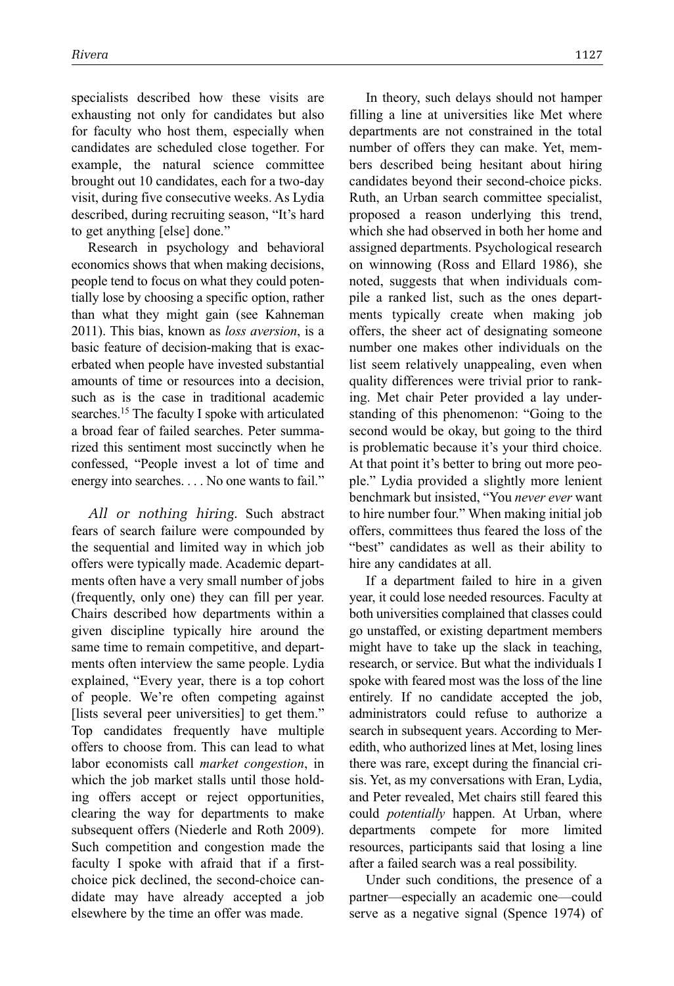specialists described how these visits are exhausting not only for candidates but also for faculty who host them, especially when candidates are scheduled close together. For example, the natural science committee brought out 10 candidates, each for a two-day visit, during five consecutive weeks. As Lydia described, during recruiting season, "It's hard to get anything [else] done."

Research in psychology and behavioral economics shows that when making decisions, people tend to focus on what they could potentially lose by choosing a specific option, rather than what they might gain (see Kahneman 2011). This bias, known as *loss aversion*, is a basic feature of decision-making that is exacerbated when people have invested substantial amounts of time or resources into a decision, such as is the case in traditional academic searches.<sup>15</sup> The faculty I spoke with articulated a broad fear of failed searches. Peter summarized this sentiment most succinctly when he confessed, "People invest a lot of time and energy into searches. . . . No one wants to fail."

*All or nothing hiring.* Such abstract fears of search failure were compounded by the sequential and limited way in which job offers were typically made. Academic departments often have a very small number of jobs (frequently, only one) they can fill per year. Chairs described how departments within a given discipline typically hire around the same time to remain competitive, and departments often interview the same people. Lydia explained, "Every year, there is a top cohort of people. We're often competing against [lists several peer universities] to get them." Top candidates frequently have multiple offers to choose from. This can lead to what labor economists call *market congestion*, in which the job market stalls until those holding offers accept or reject opportunities, clearing the way for departments to make subsequent offers (Niederle and Roth 2009). Such competition and congestion made the faculty I spoke with afraid that if a firstchoice pick declined, the second-choice candidate may have already accepted a job elsewhere by the time an offer was made.

In theory, such delays should not hamper filling a line at universities like Met where departments are not constrained in the total number of offers they can make. Yet, members described being hesitant about hiring candidates beyond their second-choice picks. Ruth, an Urban search committee specialist, proposed a reason underlying this trend, which she had observed in both her home and assigned departments. Psychological research on winnowing (Ross and Ellard 1986), she noted, suggests that when individuals compile a ranked list, such as the ones departments typically create when making job offers, the sheer act of designating someone number one makes other individuals on the list seem relatively unappealing, even when quality differences were trivial prior to ranking. Met chair Peter provided a lay understanding of this phenomenon: "Going to the second would be okay, but going to the third is problematic because it's your third choice. At that point it's better to bring out more people." Lydia provided a slightly more lenient benchmark but insisted, "You *never ever* want to hire number four." When making initial job offers, committees thus feared the loss of the "best" candidates as well as their ability to hire any candidates at all.

If a department failed to hire in a given year, it could lose needed resources. Faculty at both universities complained that classes could go unstaffed, or existing department members might have to take up the slack in teaching, research, or service. But what the individuals I spoke with feared most was the loss of the line entirely. If no candidate accepted the job, administrators could refuse to authorize a search in subsequent years. According to Meredith, who authorized lines at Met, losing lines there was rare, except during the financial crisis. Yet, as my conversations with Eran, Lydia, and Peter revealed, Met chairs still feared this could *potentially* happen. At Urban, where departments compete for more limited resources, participants said that losing a line after a failed search was a real possibility.

Under such conditions, the presence of a partner—especially an academic one—could serve as a negative signal (Spence 1974) of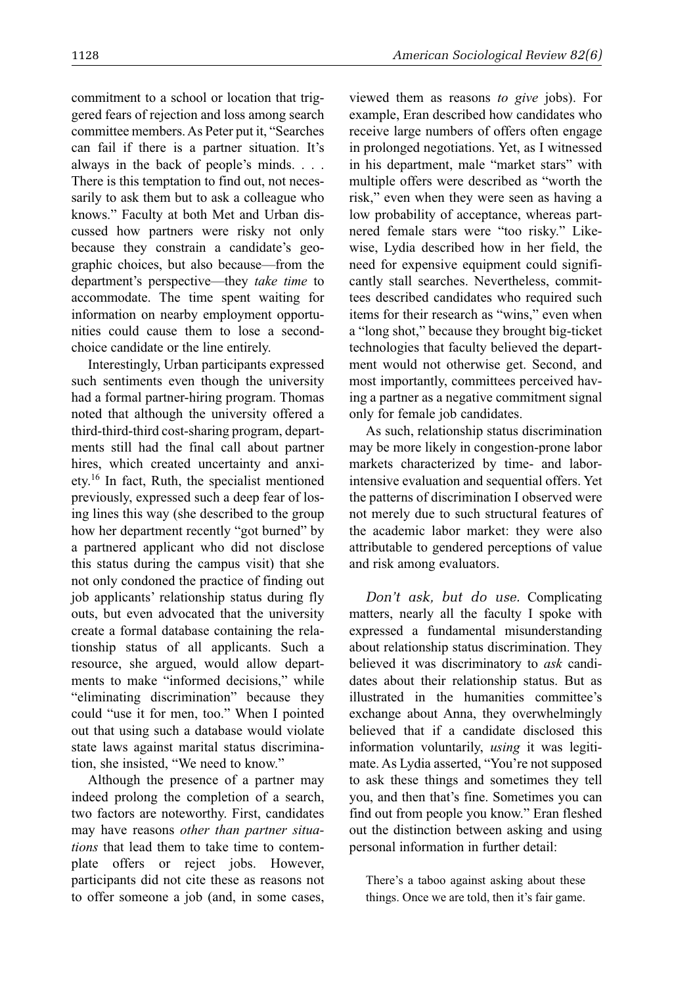commitment to a school or location that triggered fears of rejection and loss among search committee members. As Peter put it, "Searches can fail if there is a partner situation. It's always in the back of people's minds. . . . There is this temptation to find out, not necessarily to ask them but to ask a colleague who knows." Faculty at both Met and Urban discussed how partners were risky not only because they constrain a candidate's geographic choices, but also because—from the department's perspective—they *take time* to accommodate. The time spent waiting for information on nearby employment opportunities could cause them to lose a secondchoice candidate or the line entirely.

Interestingly, Urban participants expressed such sentiments even though the university had a formal partner-hiring program. Thomas noted that although the university offered a third-third-third cost-sharing program, departments still had the final call about partner hires, which created uncertainty and anxiety.16 In fact, Ruth, the specialist mentioned previously, expressed such a deep fear of losing lines this way (she described to the group how her department recently "got burned" by a partnered applicant who did not disclose this status during the campus visit) that she not only condoned the practice of finding out job applicants' relationship status during fly outs, but even advocated that the university create a formal database containing the relationship status of all applicants. Such a resource, she argued, would allow departments to make "informed decisions," while "eliminating discrimination" because they could "use it for men, too." When I pointed out that using such a database would violate state laws against marital status discrimination, she insisted, "We need to know."

Although the presence of a partner may indeed prolong the completion of a search, two factors are noteworthy. First, candidates may have reasons *other than partner situations* that lead them to take time to contemplate offers or reject jobs. However, participants did not cite these as reasons not to offer someone a job (and, in some cases, viewed them as reasons *to give* jobs). For example, Eran described how candidates who receive large numbers of offers often engage in prolonged negotiations. Yet, as I witnessed in his department, male "market stars" with multiple offers were described as "worth the risk," even when they were seen as having a low probability of acceptance, whereas partnered female stars were "too risky." Likewise, Lydia described how in her field, the need for expensive equipment could significantly stall searches. Nevertheless, committees described candidates who required such items for their research as "wins," even when a "long shot," because they brought big-ticket technologies that faculty believed the department would not otherwise get. Second, and most importantly, committees perceived having a partner as a negative commitment signal only for female job candidates.

As such, relationship status discrimination may be more likely in congestion-prone labor markets characterized by time- and laborintensive evaluation and sequential offers. Yet the patterns of discrimination I observed were not merely due to such structural features of the academic labor market: they were also attributable to gendered perceptions of value and risk among evaluators.

*Don't ask, but do use.* Complicating matters, nearly all the faculty I spoke with expressed a fundamental misunderstanding about relationship status discrimination. They believed it was discriminatory to *ask* candidates about their relationship status. But as illustrated in the humanities committee's exchange about Anna, they overwhelmingly believed that if a candidate disclosed this information voluntarily, *using* it was legitimate. As Lydia asserted, "You're not supposed to ask these things and sometimes they tell you, and then that's fine. Sometimes you can find out from people you know." Eran fleshed out the distinction between asking and using personal information in further detail:

There's a taboo against asking about these things. Once we are told, then it's fair game.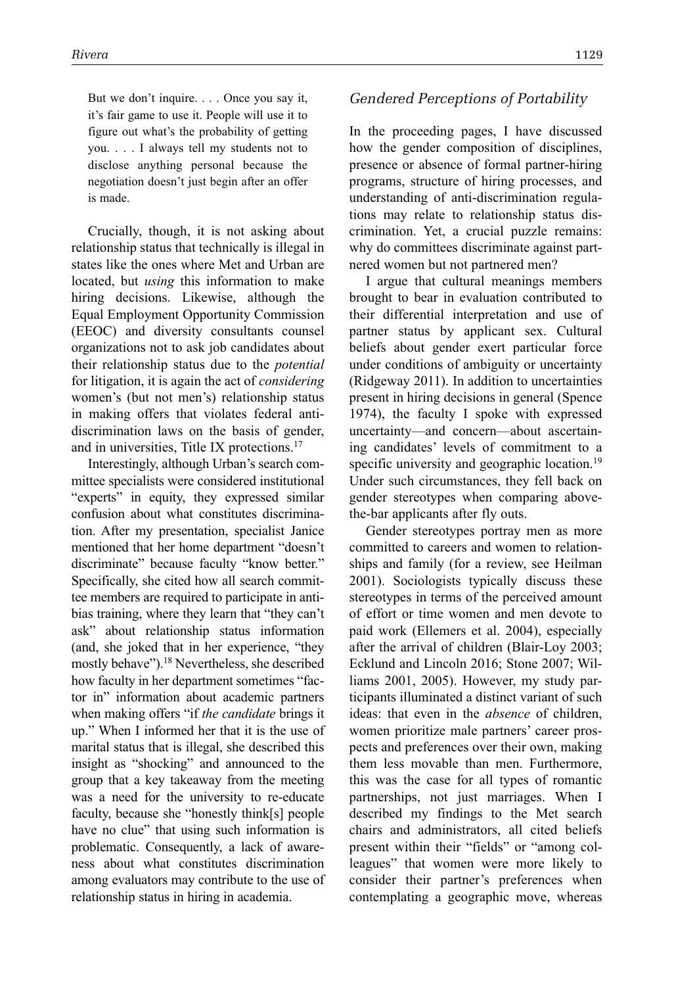But we don't inquire. . . . Once you say it, it's fair game to use it. People will use it to figure out what's the probability of getting you. . . . I always tell my students not to disclose anything personal because the negotiation doesn't just begin after an offer is made.

Crucially, though, it is not asking about relationship status that technically is illegal in states like the ones where Met and Urban are located, but *using* this information to make hiring decisions. Likewise, although the Equal Employment Opportunity Commission (EEOC) and diversity consultants counsel organizations not to ask job candidates about their relationship status due to the *potential* for litigation, it is again the act of *considering* women's (but not men's) relationship status in making offers that violates federal antidiscrimination laws on the basis of gender, and in universities, Title IX protections.<sup>17</sup>

Interestingly, although Urban's search committee specialists were considered institutional "experts" in equity, they expressed similar confusion about what constitutes discrimination. After my presentation, specialist Janice mentioned that her home department "doesn't discriminate" because faculty "know better." Specifically, she cited how all search committee members are required to participate in antibias training, where they learn that "they can't ask" about relationship status information (and, she joked that in her experience, "they mostly behave").18 Nevertheless, she described how faculty in her department sometimes "factor in" information about academic partners when making offers "if *the candidate* brings it up." When I informed her that it is the use of marital status that is illegal, she described this insight as "shocking" and announced to the group that a key takeaway from the meeting was a need for the university to re-educate faculty, because she "honestly think[s] people have no clue" that using such information is problematic. Consequently, a lack of awareness about what constitutes discrimination among evaluators may contribute to the use of relationship status in hiring in academia.

#### *Gendered Perceptions of Portability*

In the proceeding pages, I have discussed how the gender composition of disciplines, presence or absence of formal partner-hiring programs, structure of hiring processes, and understanding of anti-discrimination regulations may relate to relationship status discrimination. Yet, a crucial puzzle remains: why do committees discriminate against partnered women but not partnered men?

I argue that cultural meanings members brought to bear in evaluation contributed to their differential interpretation and use of partner status by applicant sex. Cultural beliefs about gender exert particular force under conditions of ambiguity or uncertainty (Ridgeway 2011). In addition to uncertainties present in hiring decisions in general (Spence 1974), the faculty I spoke with expressed uncertainty—and concern—about ascertaining candidates' levels of commitment to a specific university and geographic location.<sup>19</sup> Under such circumstances, they fell back on gender stereotypes when comparing abovethe-bar applicants after fly outs.

Gender stereotypes portray men as more committed to careers and women to relationships and family (for a review, see Heilman 2001). Sociologists typically discuss these stereotypes in terms of the perceived amount of effort or time women and men devote to paid work (Ellemers et al. 2004), especially after the arrival of children (Blair-Loy 2003; Ecklund and Lincoln 2016; Stone 2007; Williams 2001, 2005). However, my study participants illuminated a distinct variant of such ideas: that even in the *absence* of children, women prioritize male partners' career prospects and preferences over their own, making them less movable than men. Furthermore, this was the case for all types of romantic partnerships, not just marriages. When I described my findings to the Met search chairs and administrators, all cited beliefs present within their "fields" or "among colleagues" that women were more likely to consider their partner's preferences when contemplating a geographic move, whereas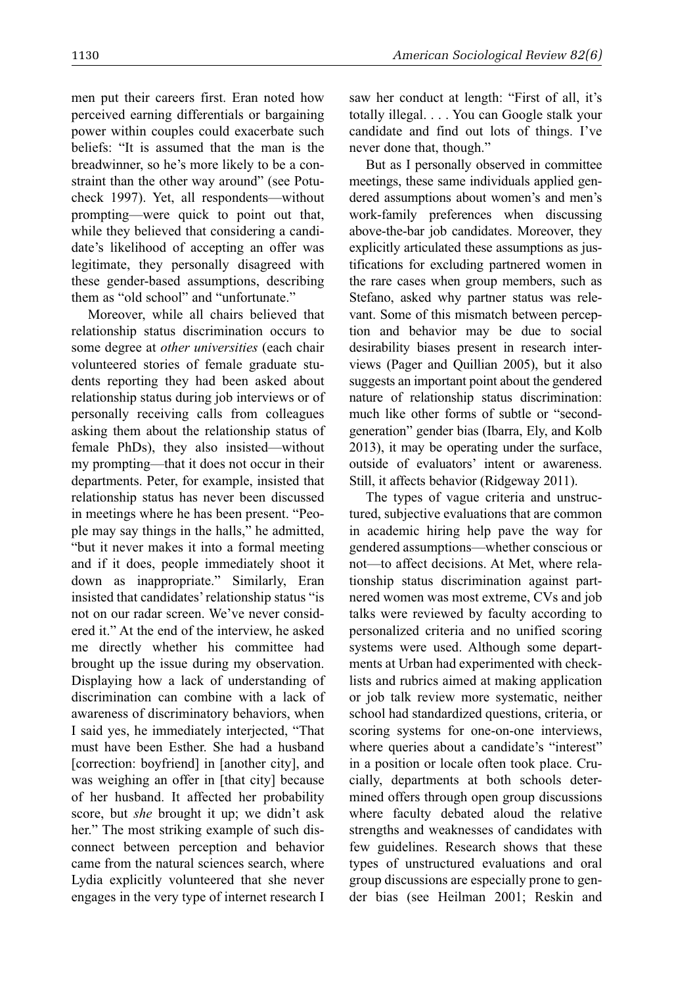men put their careers first. Eran noted how perceived earning differentials or bargaining power within couples could exacerbate such beliefs: "It is assumed that the man is the breadwinner, so he's more likely to be a constraint than the other way around" (see Potucheck 1997). Yet, all respondents—without prompting—were quick to point out that, while they believed that considering a candidate's likelihood of accepting an offer was legitimate, they personally disagreed with

these gender-based assumptions, describing

them as "old school" and "unfortunate." Moreover, while all chairs believed that relationship status discrimination occurs to some degree at *other universities* (each chair volunteered stories of female graduate students reporting they had been asked about relationship status during job interviews or of personally receiving calls from colleagues asking them about the relationship status of female PhDs), they also insisted—without my prompting—that it does not occur in their departments. Peter, for example, insisted that relationship status has never been discussed in meetings where he has been present. "People may say things in the halls," he admitted, "but it never makes it into a formal meeting and if it does, people immediately shoot it down as inappropriate." Similarly, Eran insisted that candidates' relationship status "is not on our radar screen. We've never considered it." At the end of the interview, he asked me directly whether his committee had brought up the issue during my observation. Displaying how a lack of understanding of discrimination can combine with a lack of awareness of discriminatory behaviors, when I said yes, he immediately interjected, "That must have been Esther. She had a husband [correction: boyfriend] in [another city], and was weighing an offer in [that city] because of her husband. It affected her probability score, but *she* brought it up; we didn't ask her." The most striking example of such disconnect between perception and behavior came from the natural sciences search, where Lydia explicitly volunteered that she never engages in the very type of internet research I

saw her conduct at length: "First of all, it's totally illegal. . . . You can Google stalk your candidate and find out lots of things. I've never done that, though."

But as I personally observed in committee meetings, these same individuals applied gendered assumptions about women's and men's work-family preferences when discussing above-the-bar job candidates. Moreover, they explicitly articulated these assumptions as justifications for excluding partnered women in the rare cases when group members, such as Stefano, asked why partner status was relevant. Some of this mismatch between perception and behavior may be due to social desirability biases present in research interviews (Pager and Quillian 2005), but it also suggests an important point about the gendered nature of relationship status discrimination: much like other forms of subtle or "secondgeneration" gender bias (Ibarra, Ely, and Kolb 2013), it may be operating under the surface, outside of evaluators' intent or awareness. Still, it affects behavior (Ridgeway 2011).

The types of vague criteria and unstructured, subjective evaluations that are common in academic hiring help pave the way for gendered assumptions—whether conscious or not—to affect decisions. At Met, where relationship status discrimination against partnered women was most extreme, CVs and job talks were reviewed by faculty according to personalized criteria and no unified scoring systems were used. Although some departments at Urban had experimented with checklists and rubrics aimed at making application or job talk review more systematic, neither school had standardized questions, criteria, or scoring systems for one-on-one interviews, where queries about a candidate's "interest" in a position or locale often took place. Crucially, departments at both schools determined offers through open group discussions where faculty debated aloud the relative strengths and weaknesses of candidates with few guidelines. Research shows that these types of unstructured evaluations and oral group discussions are especially prone to gender bias (see Heilman 2001; Reskin and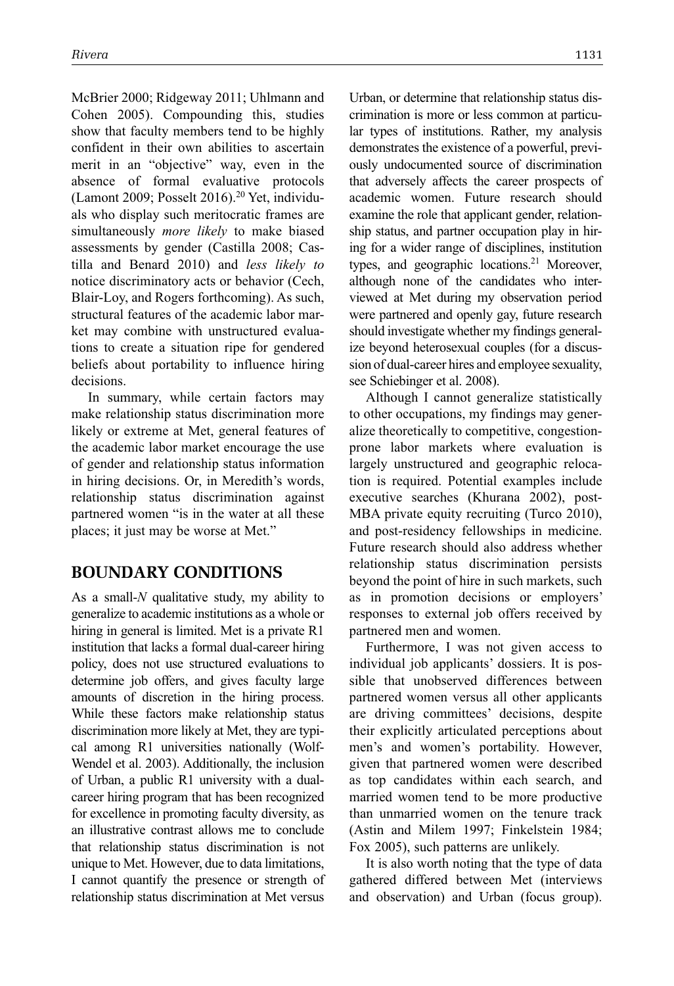McBrier 2000; Ridgeway 2011; Uhlmann and Cohen 2005). Compounding this, studies show that faculty members tend to be highly confident in their own abilities to ascertain merit in an "objective" way, even in the absence of formal evaluative protocols (Lamont 2009; Posselt 2016).<sup>20</sup> Yet, individuals who display such meritocratic frames are simultaneously *more likely* to make biased assessments by gender (Castilla 2008; Castilla and Benard 2010) and *less likely to* notice discriminatory acts or behavior (Cech, Blair-Loy, and Rogers forthcoming). As such, structural features of the academic labor market may combine with unstructured evaluations to create a situation ripe for gendered beliefs about portability to influence hiring decisions.

In summary, while certain factors may make relationship status discrimination more likely or extreme at Met, general features of the academic labor market encourage the use of gender and relationship status information in hiring decisions. Or, in Meredith's words, relationship status discrimination against partnered women "is in the water at all these places; it just may be worse at Met."

### **Boundary Conditions**

As a small-*N* qualitative study, my ability to generalize to academic institutions as a whole or hiring in general is limited. Met is a private R1 institution that lacks a formal dual-career hiring policy, does not use structured evaluations to determine job offers, and gives faculty large amounts of discretion in the hiring process. While these factors make relationship status discrimination more likely at Met, they are typical among R1 universities nationally (Wolf-Wendel et al. 2003). Additionally, the inclusion of Urban, a public R1 university with a dualcareer hiring program that has been recognized for excellence in promoting faculty diversity, as an illustrative contrast allows me to conclude that relationship status discrimination is not unique to Met. However, due to data limitations, I cannot quantify the presence or strength of relationship status discrimination at Met versus Urban, or determine that relationship status discrimination is more or less common at particular types of institutions. Rather, my analysis demonstrates the existence of a powerful, previously undocumented source of discrimination that adversely affects the career prospects of academic women. Future research should examine the role that applicant gender, relationship status, and partner occupation play in hiring for a wider range of disciplines, institution types, and geographic locations.<sup>21</sup> Moreover, although none of the candidates who interviewed at Met during my observation period were partnered and openly gay, future research should investigate whether my findings generalize beyond heterosexual couples (for a discussion of dual-career hires and employee sexuality, see Schiebinger et al. 2008).

Although I cannot generalize statistically to other occupations, my findings may generalize theoretically to competitive, congestionprone labor markets where evaluation is largely unstructured and geographic relocation is required. Potential examples include executive searches (Khurana 2002), post-MBA private equity recruiting (Turco 2010), and post-residency fellowships in medicine. Future research should also address whether relationship status discrimination persists beyond the point of hire in such markets, such as in promotion decisions or employers' responses to external job offers received by partnered men and women.

Furthermore, I was not given access to individual job applicants' dossiers. It is possible that unobserved differences between partnered women versus all other applicants are driving committees' decisions, despite their explicitly articulated perceptions about men's and women's portability. However, given that partnered women were described as top candidates within each search, and married women tend to be more productive than unmarried women on the tenure track (Astin and Milem 1997; Finkelstein 1984; Fox 2005), such patterns are unlikely.

It is also worth noting that the type of data gathered differed between Met (interviews and observation) and Urban (focus group).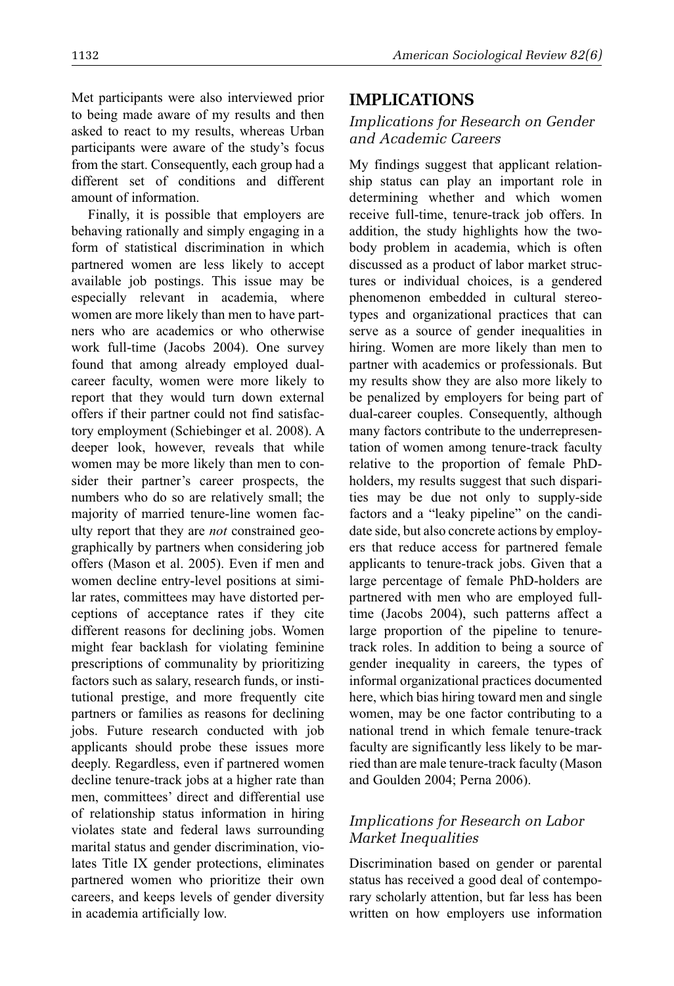Met participants were also interviewed prior to being made aware of my results and then asked to react to my results, whereas Urban participants were aware of the study's focus from the start. Consequently, each group had a different set of conditions and different amount of information.

Finally, it is possible that employers are behaving rationally and simply engaging in a form of statistical discrimination in which partnered women are less likely to accept available job postings. This issue may be especially relevant in academia, where women are more likely than men to have partners who are academics or who otherwise work full-time (Jacobs 2004). One survey found that among already employed dualcareer faculty, women were more likely to report that they would turn down external offers if their partner could not find satisfactory employment (Schiebinger et al. 2008). A deeper look, however, reveals that while women may be more likely than men to consider their partner's career prospects, the numbers who do so are relatively small; the majority of married tenure-line women faculty report that they are *not* constrained geographically by partners when considering job offers (Mason et al. 2005). Even if men and women decline entry-level positions at similar rates, committees may have distorted perceptions of acceptance rates if they cite different reasons for declining jobs. Women might fear backlash for violating feminine prescriptions of communality by prioritizing factors such as salary, research funds, or institutional prestige, and more frequently cite partners or families as reasons for declining jobs. Future research conducted with job applicants should probe these issues more deeply. Regardless, even if partnered women decline tenure-track jobs at a higher rate than men, committees' direct and differential use of relationship status information in hiring violates state and federal laws surrounding marital status and gender discrimination, violates Title IX gender protections, eliminates partnered women who prioritize their own careers, and keeps levels of gender diversity in academia artificially low.

# **Implications**

### *Implications for Research on Gender and Academic Careers*

My findings suggest that applicant relationship status can play an important role in determining whether and which women receive full-time, tenure-track job offers. In addition, the study highlights how the twobody problem in academia, which is often discussed as a product of labor market structures or individual choices, is a gendered phenomenon embedded in cultural stereotypes and organizational practices that can serve as a source of gender inequalities in hiring. Women are more likely than men to partner with academics or professionals. But my results show they are also more likely to be penalized by employers for being part of dual-career couples. Consequently, although many factors contribute to the underrepresentation of women among tenure-track faculty relative to the proportion of female PhDholders, my results suggest that such disparities may be due not only to supply-side factors and a "leaky pipeline" on the candidate side, but also concrete actions by employers that reduce access for partnered female applicants to tenure-track jobs. Given that a large percentage of female PhD-holders are partnered with men who are employed fulltime (Jacobs 2004), such patterns affect a large proportion of the pipeline to tenuretrack roles. In addition to being a source of gender inequality in careers, the types of informal organizational practices documented here, which bias hiring toward men and single women, may be one factor contributing to a national trend in which female tenure-track faculty are significantly less likely to be married than are male tenure-track faculty (Mason and Goulden 2004; Perna 2006).

### *Implications for Research on Labor Market Inequalities*

Discrimination based on gender or parental status has received a good deal of contemporary scholarly attention, but far less has been written on how employers use information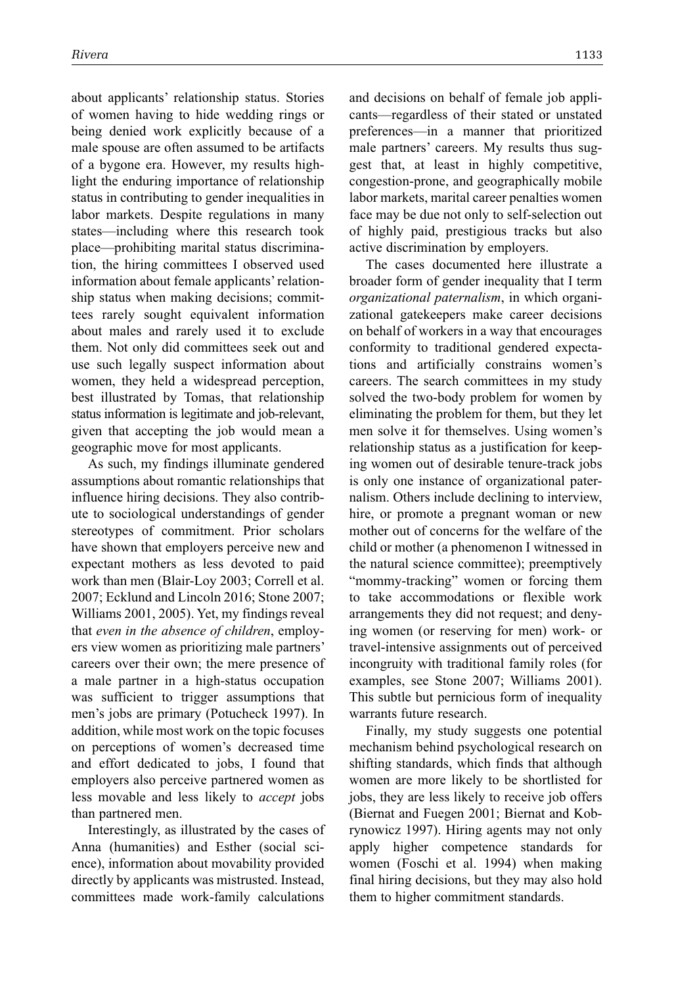about applicants' relationship status. Stories of women having to hide wedding rings or being denied work explicitly because of a male spouse are often assumed to be artifacts of a bygone era. However, my results highlight the enduring importance of relationship status in contributing to gender inequalities in labor markets. Despite regulations in many states—including where this research took place—prohibiting marital status discrimination, the hiring committees I observed used information about female applicants' relationship status when making decisions; committees rarely sought equivalent information about males and rarely used it to exclude them. Not only did committees seek out and use such legally suspect information about women, they held a widespread perception, best illustrated by Tomas, that relationship status information is legitimate and job-relevant, given that accepting the job would mean a geographic move for most applicants.

As such, my findings illuminate gendered assumptions about romantic relationships that influence hiring decisions. They also contribute to sociological understandings of gender stereotypes of commitment. Prior scholars have shown that employers perceive new and expectant mothers as less devoted to paid work than men (Blair-Loy 2003; Correll et al. 2007; Ecklund and Lincoln 2016; Stone 2007; Williams 2001, 2005). Yet, my findings reveal that *even in the absence of children*, employers view women as prioritizing male partners' careers over their own; the mere presence of a male partner in a high-status occupation was sufficient to trigger assumptions that men's jobs are primary (Potucheck 1997). In addition, while most work on the topic focuses on perceptions of women's decreased time and effort dedicated to jobs, I found that employers also perceive partnered women as less movable and less likely to *accept* jobs than partnered men.

Interestingly, as illustrated by the cases of Anna (humanities) and Esther (social science), information about movability provided directly by applicants was mistrusted. Instead, committees made work-family calculations and decisions on behalf of female job applicants—regardless of their stated or unstated preferences—in a manner that prioritized male partners' careers. My results thus suggest that, at least in highly competitive, congestion-prone, and geographically mobile labor markets, marital career penalties women face may be due not only to self-selection out of highly paid, prestigious tracks but also active discrimination by employers.

The cases documented here illustrate a broader form of gender inequality that I term *organizational paternalism*, in which organizational gatekeepers make career decisions on behalf of workers in a way that encourages conformity to traditional gendered expectations and artificially constrains women's careers. The search committees in my study solved the two-body problem for women by eliminating the problem for them, but they let men solve it for themselves. Using women's relationship status as a justification for keeping women out of desirable tenure-track jobs is only one instance of organizational paternalism. Others include declining to interview, hire, or promote a pregnant woman or new mother out of concerns for the welfare of the child or mother (a phenomenon I witnessed in the natural science committee); preemptively "mommy-tracking" women or forcing them to take accommodations or flexible work arrangements they did not request; and denying women (or reserving for men) work- or travel-intensive assignments out of perceived incongruity with traditional family roles (for examples, see Stone 2007; Williams 2001). This subtle but pernicious form of inequality warrants future research.

Finally, my study suggests one potential mechanism behind psychological research on shifting standards, which finds that although women are more likely to be shortlisted for jobs, they are less likely to receive job offers (Biernat and Fuegen 2001; Biernat and Kobrynowicz 1997). Hiring agents may not only apply higher competence standards for women (Foschi et al. 1994) when making final hiring decisions, but they may also hold them to higher commitment standards.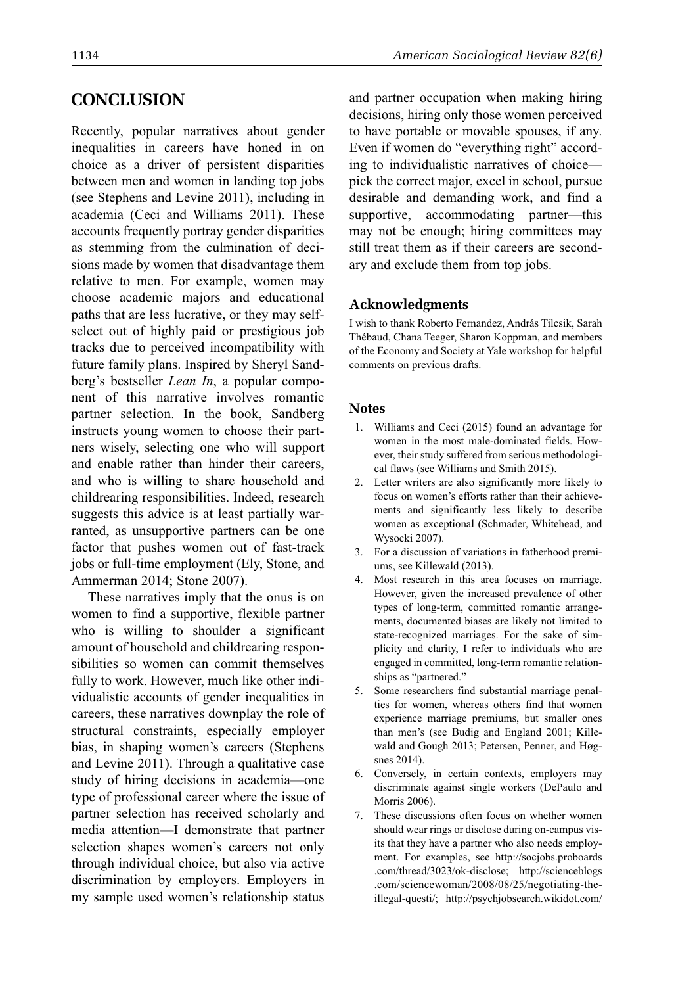# **Conclusion**

Recently, popular narratives about gender inequalities in careers have honed in on choice as a driver of persistent disparities between men and women in landing top jobs (see Stephens and Levine 2011), including in academia (Ceci and Williams 2011). These accounts frequently portray gender disparities as stemming from the culmination of decisions made by women that disadvantage them relative to men. For example, women may choose academic majors and educational paths that are less lucrative, or they may selfselect out of highly paid or prestigious job tracks due to perceived incompatibility with future family plans. Inspired by Sheryl Sandberg's bestseller *Lean In*, a popular component of this narrative involves romantic partner selection. In the book, Sandberg instructs young women to choose their partners wisely, selecting one who will support and enable rather than hinder their careers, and who is willing to share household and childrearing responsibilities. Indeed, research suggests this advice is at least partially warranted, as unsupportive partners can be one factor that pushes women out of fast-track jobs or full-time employment (Ely, Stone, and Ammerman 2014; Stone 2007).

These narratives imply that the onus is on women to find a supportive, flexible partner who is willing to shoulder a significant amount of household and childrearing responsibilities so women can commit themselves fully to work. However, much like other individualistic accounts of gender inequalities in careers, these narratives downplay the role of structural constraints, especially employer bias, in shaping women's careers (Stephens and Levine 2011). Through a qualitative case study of hiring decisions in academia—one type of professional career where the issue of partner selection has received scholarly and media attention—I demonstrate that partner selection shapes women's careers not only through individual choice, but also via active discrimination by employers. Employers in my sample used women's relationship status

and partner occupation when making hiring decisions, hiring only those women perceived to have portable or movable spouses, if any. Even if women do "everything right" according to individualistic narratives of choice pick the correct major, excel in school, pursue desirable and demanding work, and find a supportive, accommodating partner—this may not be enough; hiring committees may still treat them as if their careers are secondary and exclude them from top jobs.

#### **Acknowledgments**

I wish to thank Roberto Fernandez, András Tilcsik, Sarah Thébaud, Chana Teeger, Sharon Koppman, and members of the Economy and Society at Yale workshop for helpful comments on previous drafts.

#### **Notes**

- 1. Williams and Ceci (2015) found an advantage for women in the most male-dominated fields. However, their study suffered from serious methodological flaws (see Williams and Smith 2015).
- 2. Letter writers are also significantly more likely to focus on women's efforts rather than their achievements and significantly less likely to describe women as exceptional (Schmader, Whitehead, and Wysocki 2007).
- 3. For a discussion of variations in fatherhood premiums, see Killewald (2013).
- 4. Most research in this area focuses on marriage. However, given the increased prevalence of other types of long-term, committed romantic arrangements, documented biases are likely not limited to state-recognized marriages. For the sake of simplicity and clarity, I refer to individuals who are engaged in committed, long-term romantic relationships as "partnered."
- 5. Some researchers find substantial marriage penalties for women, whereas others find that women experience marriage premiums, but smaller ones than men's (see Budig and England 2001; Killewald and Gough 2013; Petersen, Penner, and Høgsnes 2014).
- 6. Conversely, in certain contexts, employers may discriminate against single workers (DePaulo and Morris 2006).
- 7. These discussions often focus on whether women should wear rings or disclose during on-campus visits that they have a partner who also needs employment. For examples, see [http://socjobs.proboards](http://socjobs.proboards.com/thread/3023/ok-disclose) [.com/thread/3023/ok-disclose;](http://socjobs.proboards.com/thread/3023/ok-disclose) [http://scienceblogs](http://scienceblogs.com/sciencewoman/2008/08/25/negotiating-the-illegal-questi/) [.com/sciencewoman/2008/08/25/negotiating-the](http://scienceblogs.com/sciencewoman/2008/08/25/negotiating-the-illegal-questi/)[illegal-questi/](http://scienceblogs.com/sciencewoman/2008/08/25/negotiating-the-illegal-questi/); [http://psychjobsearch.wikidot.com/](http://psychjobsearch.wikidot.com/forum/t-586411/wearing-wedding-and-or-engagement-ring-at-interview)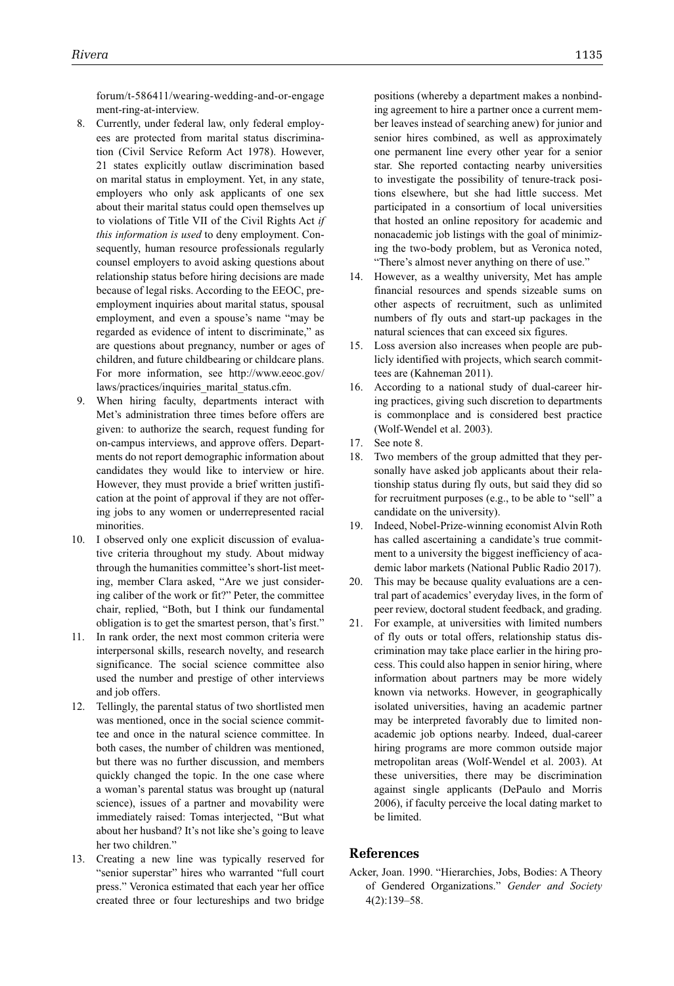[forum/t-586411/wearing-wedding-and-or-engage](http://psychjobsearch.wikidot.com/forum/t-586411/wearing-wedding-and-or-engagement-ring-at-interview)  [ment-ring-at-interview.](http://psychjobsearch.wikidot.com/forum/t-586411/wearing-wedding-and-or-engagement-ring-at-interview)

- Currently, under federal law, only federal employees are protected from marital status discrimination (Civil Service Reform Act 1978). However, 21 states explicitly outlaw discrimination based on marital status in employment. Yet, in any state, employers who only ask applicants of one sex about their marital status could open themselves up to violations of Title VII of the Civil Rights Act *if this information is used* to deny employment. Consequently, human resource professionals regularly counsel employers to avoid asking questions about relationship status before hiring decisions are made because of legal risks. According to the EEOC, preemployment inquiries about marital status, spousal employment, and even a spouse's name "may be regarded as evidence of intent to discriminate," as are questions about pregnancy, number or ages of children, and future childbearing or childcare plans. For more information, see [http://www.eeoc.gov/](http://www.eeoc.gov/laws/practices/inquiries_marital_status.cfm) [laws/practices/inquiries\\_marital\\_status.cfm](http://www.eeoc.gov/laws/practices/inquiries_marital_status.cfm).
- 9. When hiring faculty, departments interact with Met's administration three times before offers are given: to authorize the search, request funding for on-campus interviews, and approve offers. Departments do not report demographic information about candidates they would like to interview or hire. However, they must provide a brief written justification at the point of approval if they are not offering jobs to any women or underrepresented racial minorities.
- 10. I observed only one explicit discussion of evaluative criteria throughout my study. About midway through the humanities committee's short-list meeting, member Clara asked, "Are we just considering caliber of the work or fit?" Peter, the committee chair, replied, "Both, but I think our fundamental obligation is to get the smartest person, that's first."
- 11. In rank order, the next most common criteria were interpersonal skills, research novelty, and research significance. The social science committee also used the number and prestige of other interviews and job offers.
- 12. Tellingly, the parental status of two shortlisted men was mentioned, once in the social science committee and once in the natural science committee. In both cases, the number of children was mentioned, but there was no further discussion, and members quickly changed the topic. In the one case where a woman's parental status was brought up (natural science), issues of a partner and movability were immediately raised: Tomas interjected, "But what about her husband? It's not like she's going to leave her two children."
- 13. Creating a new line was typically reserved for "senior superstar" hires who warranted "full court press." Veronica estimated that each year her office created three or four lectureships and two bridge

positions (whereby a department makes a nonbinding agreement to hire a partner once a current member leaves instead of searching anew) for junior and senior hires combined, as well as approximately one permanent line every other year for a senior star. She reported contacting nearby universities to investigate the possibility of tenure-track positions elsewhere, but she had little success. Met participated in a consortium of local universities that hosted an online repository for academic and nonacademic job listings with the goal of minimizing the two-body problem, but as Veronica noted, "There's almost never anything on there of use."

- 14. However, as a wealthy university, Met has ample financial resources and spends sizeable sums on other aspects of recruitment, such as unlimited numbers of fly outs and start-up packages in the natural sciences that can exceed six figures.
- 15. Loss aversion also increases when people are publicly identified with projects, which search committees are (Kahneman 2011).
- 16. According to a national study of dual-career hiring practices, giving such discretion to departments is commonplace and is considered best practice (Wolf-Wendel et al. 2003).
- 17. See note 8.
- 18. Two members of the group admitted that they personally have asked job applicants about their relationship status during fly outs, but said they did so for recruitment purposes (e.g., to be able to "sell" a candidate on the university).
- 19. Indeed, Nobel-Prize-winning economist Alvin Roth has called ascertaining a candidate's true commitment to a university the biggest inefficiency of academic labor markets (National Public Radio 2017).
- 20. This may be because quality evaluations are a central part of academics' everyday lives, in the form of peer review, doctoral student feedback, and grading.
- 21. For example, at universities with limited numbers of fly outs or total offers, relationship status discrimination may take place earlier in the hiring process. This could also happen in senior hiring, where information about partners may be more widely known via networks. However, in geographically isolated universities, having an academic partner may be interpreted favorably due to limited nonacademic job options nearby. Indeed, dual-career hiring programs are more common outside major metropolitan areas (Wolf-Wendel et al. 2003). At these universities, there may be discrimination against single applicants (DePaulo and Morris 2006), if faculty perceive the local dating market to be limited.

#### **References**

Acker, Joan. 1990. "Hierarchies, Jobs, Bodies: A Theory of Gendered Organizations." *Gender and Society* 4(2):139–58.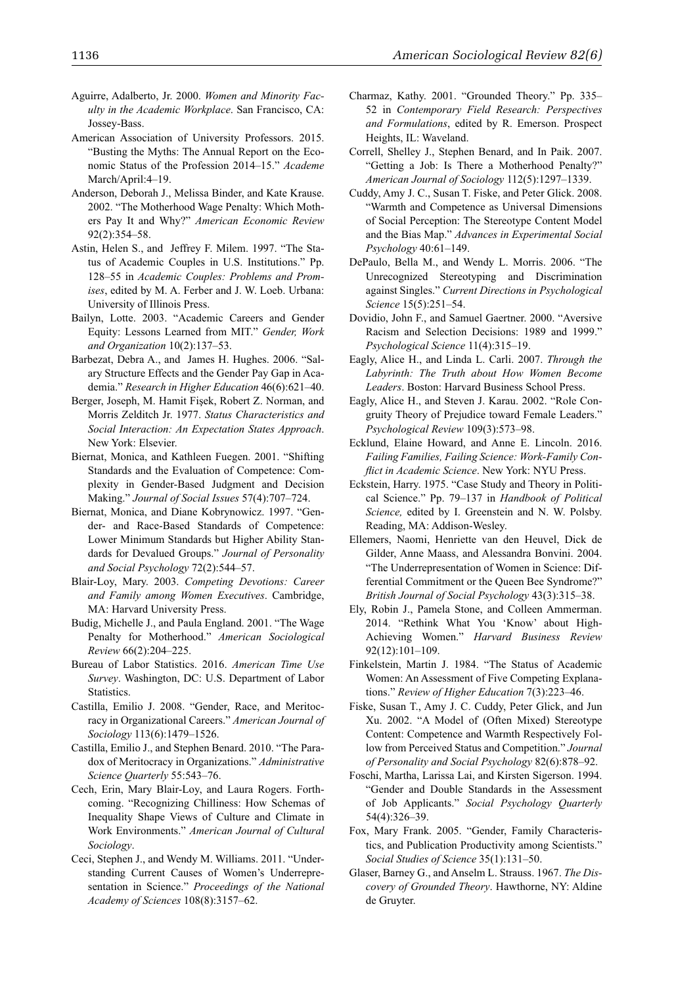- Aguirre, Adalberto, Jr. 2000. *Women and Minority Faculty in the Academic Workplace*. San Francisco, CA: Jossey-Bass.
- American Association of University Professors. 2015. "Busting the Myths: The Annual Report on the Economic Status of the Profession 2014–15." *Academe* March/April:4–19.
- Anderson, Deborah J., Melissa Binder, and Kate Krause. 2002. "The Motherhood Wage Penalty: Which Mothers Pay It and Why?" *American Economic Review* 92(2):354–58.
- Astin, Helen S., and Jeffrey F. Milem. 1997. "The Status of Academic Couples in U.S. Institutions." Pp. 128–55 in *Academic Couples: Problems and Promises*, edited by M. A. Ferber and J. W. Loeb. Urbana: University of Illinois Press.
- Bailyn, Lotte. 2003. "Academic Careers and Gender Equity: Lessons Learned from MIT." *Gender, Work and Organization* 10(2):137–53.
- Barbezat, Debra A., and James H. Hughes. 2006. "Salary Structure Effects and the Gender Pay Gap in Academia." *Research in Higher Education* 46(6):621–40.
- Berger, Joseph, M. Hamit Fişek, Robert Z. Norman, and Morris Zelditch Jr. 1977. *Status Characteristics and Social Interaction: An Expectation States Approach*. New York: Elsevier.
- Biernat, Monica, and Kathleen Fuegen. 2001. "Shifting Standards and the Evaluation of Competence: Complexity in Gender-Based Judgment and Decision Making." *Journal of Social Issues* 57(4):707–724.
- Biernat, Monica, and Diane Kobrynowicz. 1997. "Gender- and Race-Based Standards of Competence: Lower Minimum Standards but Higher Ability Standards for Devalued Groups." *Journal of Personality and Social Psychology* 72(2):544–57.
- Blair-Loy, Mary. 2003. *Competing Devotions: Career and Family among Women Executives*. Cambridge, MA: Harvard University Press.
- Budig, Michelle J., and Paula England. 2001. "The Wage Penalty for Motherhood." *American Sociological Review* 66(2):204–225.
- Bureau of Labor Statistics. 2016. *American Time Use Survey*. Washington, DC: U.S. Department of Labor Statistics.
- Castilla, Emilio J. 2008. "Gender, Race, and Meritocracy in Organizational Careers." *American Journal of Sociology* 113(6):1479–1526.
- Castilla, Emilio J., and Stephen Benard. 2010. "The Paradox of Meritocracy in Organizations." *Administrative Science Quarterly* 55:543–76.
- Cech, Erin, Mary Blair-Loy, and Laura Rogers. Forthcoming. "Recognizing Chilliness: How Schemas of Inequality Shape Views of Culture and Climate in Work Environments." *American Journal of Cultural Sociology*.
- Ceci, Stephen J., and Wendy M. Williams. 2011. "Understanding Current Causes of Women's Underrepresentation in Science." *Proceedings of the National Academy of Sciences* 108(8):3157–62.
- Charmaz, Kathy. 2001. "Grounded Theory." Pp. 335– 52 in *Contemporary Field Research: Perspectives and Formulations*, edited by R. Emerson. Prospect Heights, IL: Waveland.
- Correll, Shelley J., Stephen Benard, and In Paik. 2007. "Getting a Job: Is There a Motherhood Penalty?" *American Journal of Sociology* 112(5):1297–1339.
- Cuddy, Amy J. C., Susan T. Fiske, and Peter Glick. 2008. "Warmth and Competence as Universal Dimensions of Social Perception: The Stereotype Content Model and the Bias Map." *Advances in Experimental Social Psychology* 40:61–149.
- DePaulo, Bella M., and Wendy L. Morris. 2006. "The Unrecognized Stereotyping and Discrimination against Singles." *Current Directions in Psychological Science* 15(5):251–54.
- Dovidio, John F., and Samuel Gaertner. 2000. "Aversive Racism and Selection Decisions: 1989 and 1999." *Psychological Science* 11(4):315–19.
- Eagly, Alice H., and Linda L. Carli. 2007. *Through the Labyrinth: The Truth about How Women Become Leaders*. Boston: Harvard Business School Press.
- Eagly, Alice H., and Steven J. Karau. 2002. "Role Congruity Theory of Prejudice toward Female Leaders." *Psychological Review* 109(3):573–98.
- Ecklund, Elaine Howard, and Anne E. Lincoln. 2016. *Failing Families, Failing Science: Work-Family Conflict in Academic Science*. New York: NYU Press.
- Eckstein, Harry. 1975. "Case Study and Theory in Political Science." Pp. 79–137 in *Handbook of Political Science,* edited by I. Greenstein and N. W. Polsby. Reading, MA: Addison-Wesley.
- Ellemers, Naomi, Henriette van den Heuvel, Dick de Gilder, Anne Maass, and Alessandra Bonvini. 2004. "The Underrepresentation of Women in Science: Differential Commitment or the Queen Bee Syndrome?" *British Journal of Social Psychology* 43(3):315–38.
- Ely, Robin J., Pamela Stone, and Colleen Ammerman. 2014. "Rethink What You 'Know' about High-Achieving Women." *Harvard Business Review* 92(12):101–109.
- Finkelstein, Martin J. 1984. "The Status of Academic Women: An Assessment of Five Competing Explanations." *Review of Higher Education* 7(3):223–46.
- Fiske, Susan T., Amy J. C. Cuddy, Peter Glick, and Jun Xu. 2002. "A Model of (Often Mixed) Stereotype Content: Competence and Warmth Respectively Follow from Perceived Status and Competition." *Journal of Personality and Social Psychology* 82(6):878–92.
- Foschi, Martha, Larissa Lai, and Kirsten Sigerson. 1994. "Gender and Double Standards in the Assessment of Job Applicants." *Social Psychology Quarterly* 54(4):326–39.
- Fox, Mary Frank. 2005. "Gender, Family Characteristics, and Publication Productivity among Scientists." *Social Studies of Science* 35(1):131–50.
- Glaser, Barney G., and Anselm L. Strauss. 1967. *The Discovery of Grounded Theory*. Hawthorne, NY: Aldine de Gruyter.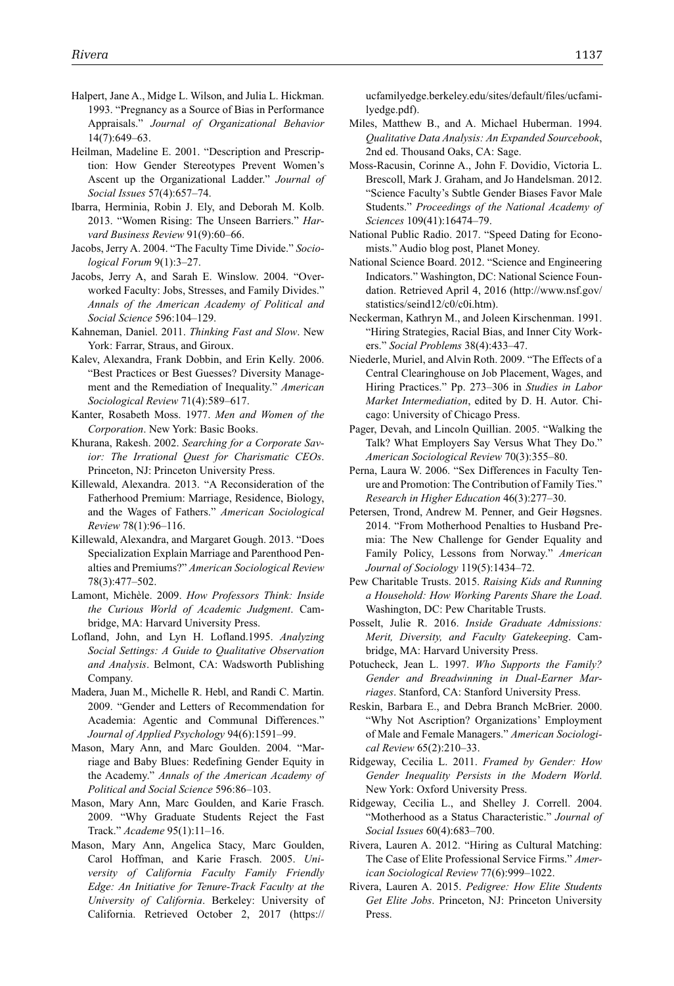- Halpert, Jane A., Midge L. Wilson, and Julia L. Hickman. 1993. "Pregnancy as a Source of Bias in Performance Appraisals." *Journal of Organizational Behavior* 14(7):649–63.
- Heilman, Madeline E. 2001. "Description and Prescription: How Gender Stereotypes Prevent Women's Ascent up the Organizational Ladder." *Journal of Social Issues* 57(4):657–74.
- Ibarra, Herminia, Robin J. Ely, and Deborah M. Kolb. 2013. "Women Rising: The Unseen Barriers." *Harvard Business Review* 91(9):60–66.
- Jacobs, Jerry A. 2004. "The Faculty Time Divide." *Sociological Forum* 9(1):3–27.
- Jacobs, Jerry A, and Sarah E. Winslow. 2004. "Overworked Faculty: Jobs, Stresses, and Family Divides." *Annals of the American Academy of Political and Social Science* 596:104–129.
- Kahneman, Daniel. 2011. *Thinking Fast and Slow*. New York: Farrar, Straus, and Giroux.
- Kalev, Alexandra, Frank Dobbin, and Erin Kelly. 2006. "Best Practices or Best Guesses? Diversity Management and the Remediation of Inequality." *American Sociological Review* 71(4):589–617.
- Kanter, Rosabeth Moss. 1977. *Men and Women of the Corporation*. New York: Basic Books.
- Khurana, Rakesh. 2002. *Searching for a Corporate Savior: The Irrational Quest for Charismatic CEOs*. Princeton, NJ: Princeton University Press.
- Killewald, Alexandra. 2013. "A Reconsideration of the Fatherhood Premium: Marriage, Residence, Biology, and the Wages of Fathers." *American Sociological Review* 78(1):96–116.
- Killewald, Alexandra, and Margaret Gough. 2013. "Does Specialization Explain Marriage and Parenthood Penalties and Premiums?" *American Sociological Review* 78(3):477–502.
- Lamont, Michèle. 2009. *How Professors Think: Inside the Curious World of Academic Judgment*. Cambridge, MA: Harvard University Press.
- Lofland, John, and Lyn H. Lofland.1995. *Analyzing Social Settings: A Guide to Qualitative Observation and Analysis*. Belmont, CA: Wadsworth Publishing Company.
- Madera, Juan M., Michelle R. Hebl, and Randi C. Martin. 2009. "Gender and Letters of Recommendation for Academia: Agentic and Communal Differences." *Journal of Applied Psychology* 94(6):1591–99.
- Mason, Mary Ann, and Marc Goulden. 2004. "Marriage and Baby Blues: Redefining Gender Equity in the Academy." *Annals of the American Academy of Political and Social Science* 596:86–103.
- Mason, Mary Ann, Marc Goulden, and Karie Frasch. 2009. "Why Graduate Students Reject the Fast Track." *Academe* 95(1):11–16.
- Mason, Mary Ann, Angelica Stacy, Marc Goulden, Carol Hoffman, and Karie Frasch. 2005. *University of California Faculty Family Friendly Edge: An Initiative for Tenure-Track Faculty at the University of California*. Berkeley: University of California. Retrieved October 2, 2017 (https://

ucfamilyedge.berkeley.edu/sites/default/files/ucfamilyedge.pdf).

- Miles, Matthew B., and A. Michael Huberman. 1994. *Qualitative Data Analysis: An Expanded Sourcebook*, 2nd ed. Thousand Oaks, CA: Sage.
- Moss-Racusin, Corinne A., John F. Dovidio, Victoria L. Brescoll, Mark J. Graham, and Jo Handelsman. 2012. "Science Faculty's Subtle Gender Biases Favor Male Students." *Proceedings of the National Academy of Sciences* 109(41):16474–79.
- National Public Radio. 2017. "Speed Dating for Economists." Audio blog post, Planet Money.
- National Science Board. 2012. "Science and Engineering Indicators." Washington, DC: National Science Foundation. Retrieved April 4, 2016 (http://www.nsf.gov/ statistics/seind12/c0/c0i.htm).
- Neckerman, Kathryn M., and Joleen Kirschenman. 1991. "Hiring Strategies, Racial Bias, and Inner City Workers." *Social Problems* 38(4):433–47.
- Niederle, Muriel, and Alvin Roth. 2009. "The Effects of a Central Clearinghouse on Job Placement, Wages, and Hiring Practices." Pp. 273–306 in *Studies in Labor Market Intermediation*, edited by D. H. Autor. Chicago: University of Chicago Press.
- Pager, Devah, and Lincoln Quillian. 2005. "Walking the Talk? What Employers Say Versus What They Do." *American Sociological Review* 70(3):355–80.
- Perna, Laura W. 2006. "Sex Differences in Faculty Tenure and Promotion: The Contribution of Family Ties." *Research in Higher Education* 46(3):277–30.
- Petersen, Trond, Andrew M. Penner, and Geir Høgsnes. 2014. "From Motherhood Penalties to Husband Premia: The New Challenge for Gender Equality and Family Policy, Lessons from Norway." *American Journal of Sociology* 119(5):1434–72.
- Pew Charitable Trusts. 2015. *Raising Kids and Running a Household: How Working Parents Share the Load*. Washington, DC: Pew Charitable Trusts.
- Posselt, Julie R. 2016. *Inside Graduate Admissions: Merit, Diversity, and Faculty Gatekeeping*. Cambridge, MA: Harvard University Press.
- Potucheck, Jean L. 1997. *Who Supports the Family? Gender and Breadwinning in Dual-Earner Marriages*. Stanford, CA: Stanford University Press.
- Reskin, Barbara E., and Debra Branch McBrier. 2000. "Why Not Ascription? Organizations' Employment of Male and Female Managers." *American Sociological Review* 65(2):210–33.
- Ridgeway, Cecilia L. 2011. *Framed by Gender: How Gender Inequality Persists in the Modern World*. New York: Oxford University Press.
- Ridgeway, Cecilia L., and Shelley J. Correll. 2004. "Motherhood as a Status Characteristic." *Journal of Social Issues* 60(4):683–700.
- Rivera, Lauren A. 2012. "Hiring as Cultural Matching: The Case of Elite Professional Service Firms." *American Sociological Review* 77(6):999–1022.
- Rivera, Lauren A. 2015. *Pedigree: How Elite Students Get Elite Jobs*. Princeton, NJ: Princeton University Press.